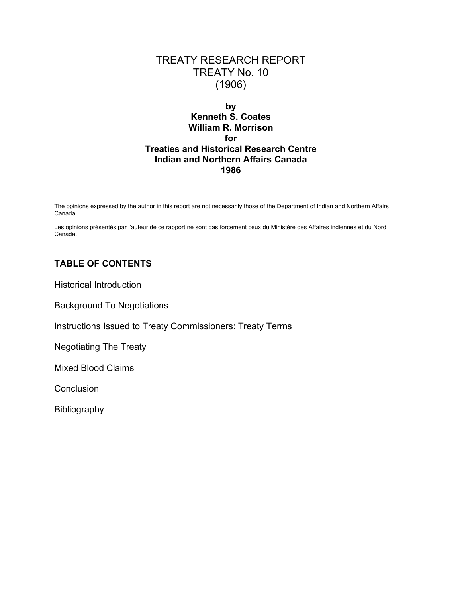# TREATY RESEARCH REPORT TREATY No. 10 (1906)

## **by Kenneth S. Coates William R. Morrison for Treaties and Historical Research Centre Indian and Northern Affairs Canada 1986**

The opinions expressed by the author in this report are not necessarily those of the Department of Indian and Northern Affairs Canada.

Les opinions présentés par l'auteur de ce rapport ne sont pas forcement ceux du Ministère des Affaires indiennes et du Nord Canada.

## **TABLE OF CONTENTS**

Historical Introduction

Background To Negotiations

Instructions Issued to Treaty Commissioners: Treaty Terms

Negotiating The Treaty

Mixed Blood Claims

**Conclusion** 

Bibliography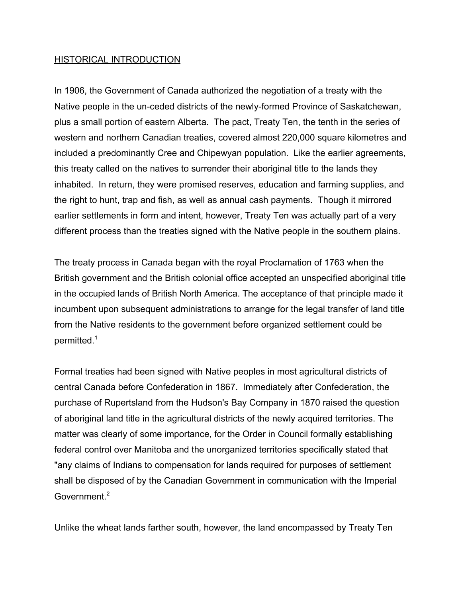## HISTORICAL INTRODUCTION

In 1906, the Government of Canada authorized the negotiation of a treaty with the Native people in the un-ceded districts of the newly-formed Province of Saskatchewan, plus a small portion of eastern Alberta. The pact, Treaty Ten, the tenth in the series of western and northern Canadian treaties, covered almost 220,000 square kilometres and included a predominantly Cree and Chipewyan population. Like the earlier agreements, this treaty called on the natives to surrender their aboriginal title to the lands they inhabited. In return, they were promised reserves, education and farming supplies, and the right to hunt, trap and fish, as well as annual cash payments. Though it mirrored earlier settlements in form and intent, however, Treaty Ten was actually part of a very different process than the treaties signed with the Native people in the southern plains.

The treaty process in Canada began with the royal Proclamation of 1763 when the British government and the British colonial office accepted an unspecified aboriginal title in the occupied lands of British North America. The acceptance of that principle made it incumbent upon subsequent administrations to arrange for the legal transfer of land title from the Native residents to the government before organized settlement could be permitted.<sup>1</sup>

Formal treaties had been signed with Native peoples in most agricultural districts of central Canada before Confederation in 1867. Immediately after Confederation, the purchase of Rupertsland from the Hudson's Bay Company in 1870 raised the question of aboriginal land title in the agricultural districts of the newly acquired territories. The matter was clearly of some importance, for the Order in Council formally establishing federal control over Manitoba and the unorganized territories specifically stated that "any claims of Indians to compensation for lands required for purposes of settlement shall be disposed of by the Canadian Government in communication with the Imperial Government.<sup>2</sup>

Unlike the wheat lands farther south, however, the land encompassed by Treaty Ten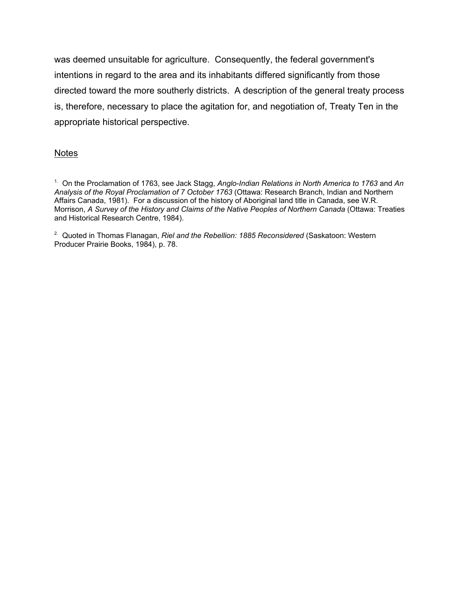was deemed unsuitable for agriculture. Consequently, the federal government's intentions in regard to the area and its inhabitants differed significantly from those directed toward the more southerly districts. A description of the general treaty process is, therefore, necessary to place the agitation for, and negotiation of, Treaty Ten in the appropriate historical perspective.

### **Notes**

<sup>2.</sup> Quoted in Thomas Flanagan, *Riel and the Rebellion: 1885 Reconsidered* (Saskatoon: Western Producer Prairie Books, 1984), p. 78.

<sup>1.</sup> On the Proclamation of 1763, see Jack Stagg, *Anglo-Indian Relations in North America to 1763* and *An Analysis of the Royal Proclamation of 7 October 1763* (Ottawa: Research Branch, Indian and Northern Affairs Canada, 1981). For a discussion of the history of Aboriginal land title in Canada, see W.R. Morrison, *A Survey of the History and Claims of the Native Peoples of Northern Canada* (Ottawa: Treaties and Historical Research Centre, 1984).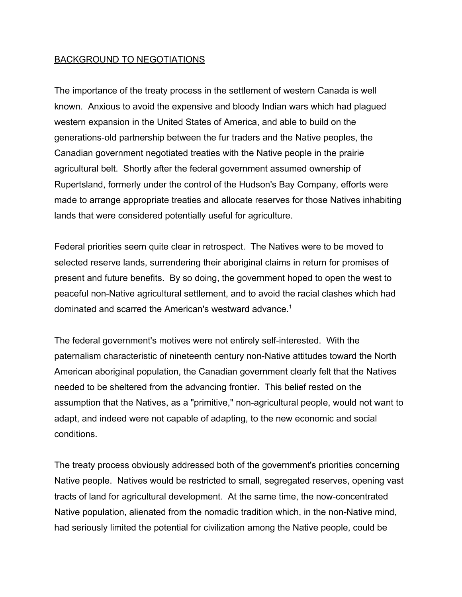## BACKGROUND TO NEGOTIATIONS

The importance of the treaty process in the settlement of western Canada is well known. Anxious to avoid the expensive and bloody Indian wars which had plagued western expansion in the United States of America, and able to build on the generations-old partnership between the fur traders and the Native peoples, the Canadian government negotiated treaties with the Native people in the prairie agricultural belt. Shortly after the federal government assumed ownership of Rupertsland, formerly under the control of the Hudson's Bay Company, efforts were made to arrange appropriate treaties and allocate reserves for those Natives inhabiting lands that were considered potentially useful for agriculture.

Federal priorities seem quite clear in retrospect. The Natives were to be moved to selected reserve lands, surrendering their aboriginal claims in return for promises of present and future benefits. By so doing, the government hoped to open the west to peaceful non-Native agricultural settlement, and to avoid the racial clashes which had dominated and scarred the American's westward advance.<sup>1</sup>

The federal government's motives were not entirely self-interested. With the paternalism characteristic of nineteenth century non-Native attitudes toward the North American aboriginal population, the Canadian government clearly felt that the Natives needed to be sheltered from the advancing frontier. This belief rested on the assumption that the Natives, as a "primitive," non-agricultural people, would not want to adapt, and indeed were not capable of adapting, to the new economic and social conditions.

The treaty process obviously addressed both of the government's priorities concerning Native people. Natives would be restricted to small, segregated reserves, opening vast tracts of land for agricultural development. At the same time, the now-concentrated Native population, alienated from the nomadic tradition which, in the non-Native mind, had seriously limited the potential for civilization among the Native people, could be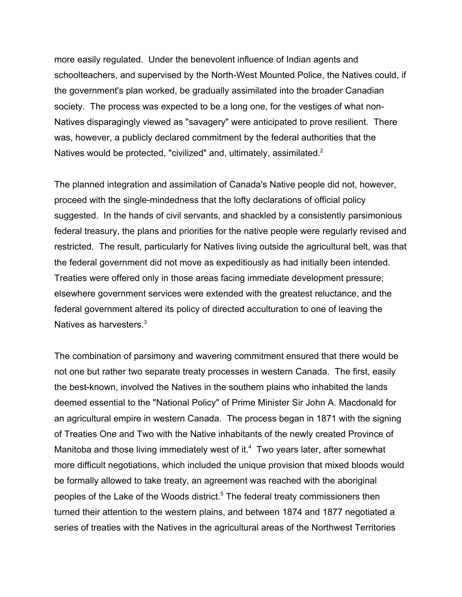more easily regulated. Under the benevolent influence of Indian agents and schoolteachers, and supervised by the North-West Mounted Police, the Natives could, if the government's plan worked, be gradually assimilated into the broader Canadian society. The process was expected to be a long one, for the vestiges of what non-Natives disparagingly viewed as "savagery" were anticipated to prove resilient. There was, however, a publicly declared commitment by the federal authorities that the Natives would be protected, "civilized" and, ultimately, assimilated.<sup>2</sup>

The planned integration and assimilation of Canada's Native people did not, however, proceed with the single-mindedness that the lofty declarations of official policy suggested. In the hands of civil servants, and shackled by a consistently parsimonious federal treasury, the plans and priorities for the native people were regularly revised and restricted. The result, particularly for Natives living outside the agricultural belt, was that the federal government did not move as expeditiously as had initially been intended. Treaties were offered only in those areas facing immediate development pressure; elsewhere government services were extended with the greatest reluctance, and the federal government altered its policy of directed acculturation to one of leaving the Natives as harvesters.<sup>3</sup>

The combination of parsimony and wavering commitment ensured that there would be not one but rather two separate treaty processes in western Canada. The first, easily the best-known, involved the Natives in the southern plains who inhabited the lands deemed essential to the "National Policy" of Prime Minister Sir John A. Macdonald for an agricultural empire in western Canada. The process began in 1871 with the signing of Treaties One and Two with the Native inhabitants of the newly created Province of Manitoba and those living immediately west of it. $4$  Two years later, after somewhat more difficult negotiations, which included the unique provision that mixed bloods would be formally allowed to take treaty, an agreement was reached with the aboriginal peoples of the Lake of the Woods district.<sup>5</sup> The federal treaty commissioners then turned their attention to the western plains, and between 1874 and 1877 negotiated a series of treaties with the Natives in the agricultural areas of the Northwest Territories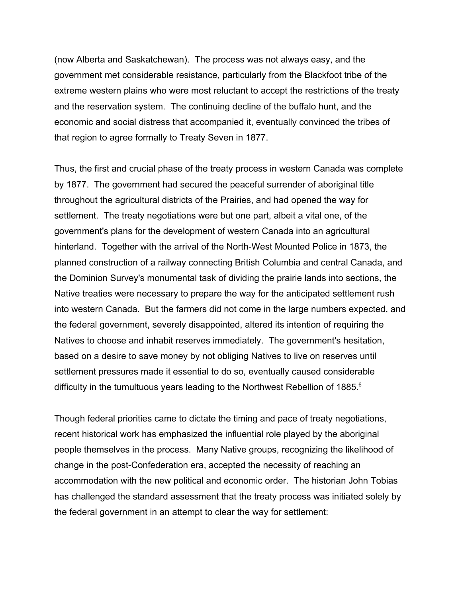(now Alberta and Saskatchewan). The process was not always easy, and the government met considerable resistance, particularly from the Blackfoot tribe of the extreme western plains who were most reluctant to accept the restrictions of the treaty and the reservation system. The continuing decline of the buffalo hunt, and the economic and social distress that accompanied it, eventually convinced the tribes of that region to agree formally to Treaty Seven in 1877.

Thus, the first and crucial phase of the treaty process in western Canada was complete by 1877. The government had secured the peaceful surrender of aboriginal title throughout the agricultural districts of the Prairies, and had opened the way for settlement. The treaty negotiations were but one part, albeit a vital one, of the government's plans for the development of western Canada into an agricultural hinterland. Together with the arrival of the North-West Mounted Police in 1873, the planned construction of a railway connecting British Columbia and central Canada, and the Dominion Survey's monumental task of dividing the prairie lands into sections, the Native treaties were necessary to prepare the way for the anticipated settlement rush into western Canada. But the farmers did not come in the large numbers expected, and the federal government, severely disappointed, altered its intention of requiring the Natives to choose and inhabit reserves immediately. The government's hesitation, based on a desire to save money by not obliging Natives to live on reserves until settlement pressures made it essential to do so, eventually caused considerable difficulty in the tumultuous years leading to the Northwest Rebellion of 1885. $^6$ 

Though federal priorities came to dictate the timing and pace of treaty negotiations, recent historical work has emphasized the influential role played by the aboriginal people themselves in the process. Many Native groups, recognizing the likelihood of change in the post-Confederation era, accepted the necessity of reaching an accommodation with the new political and economic order. The historian John Tobias has challenged the standard assessment that the treaty process was initiated solely by the federal government in an attempt to clear the way for settlement: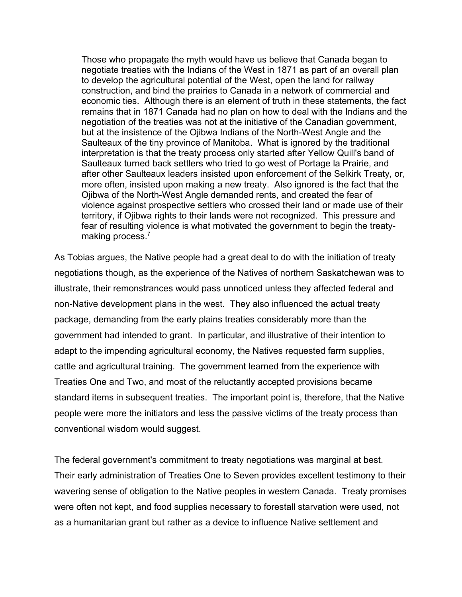Those who propagate the myth would have us believe that Canada began to negotiate treaties with the Indians of the West in 1871 as part of an overall plan to develop the agricultural potential of the West, open the land for railway construction, and bind the prairies to Canada in a network of commercial and economic ties. Although there is an element of truth in these statements, the fact remains that in 1871 Canada had no plan on how to deal with the Indians and the negotiation of the treaties was not at the initiative of the Canadian government, but at the insistence of the Ojibwa Indians of the North-West Angle and the Saulteaux of the tiny province of Manitoba. What is ignored by the traditional interpretation is that the treaty process only started after Yellow Quill's band of Saulteaux turned back settlers who tried to go west of Portage la Prairie, and after other Saulteaux leaders insisted upon enforcement of the Selkirk Treaty, or, more often, insisted upon making a new treaty. Also ignored is the fact that the Ojibwa of the North-West Angle demanded rents, and created the fear of violence against prospective settlers who crossed their land or made use of their territory, if Ojibwa rights to their lands were not recognized. This pressure and fear of resulting violence is what motivated the government to begin the treatymaking process.<sup>7</sup>

As Tobias argues, the Native people had a great deal to do with the initiation of treaty negotiations though, as the experience of the Natives of northern Saskatchewan was to illustrate, their remonstrances would pass unnoticed unless they affected federal and non-Native development plans in the west. They also influenced the actual treaty package, demanding from the early plains treaties considerably more than the government had intended to grant. In particular, and illustrative of their intention to adapt to the impending agricultural economy, the Natives requested farm supplies, cattle and agricultural training. The government learned from the experience with Treaties One and Two, and most of the reluctantly accepted provisions became standard items in subsequent treaties. The important point is, therefore, that the Native people were more the initiators and less the passive victims of the treaty process than conventional wisdom would suggest.

The federal government's commitment to treaty negotiations was marginal at best. Their early administration of Treaties One to Seven provides excellent testimony to their wavering sense of obligation to the Native peoples in western Canada. Treaty promises were often not kept, and food supplies necessary to forestall starvation were used, not as a humanitarian grant but rather as a device to influence Native settlement and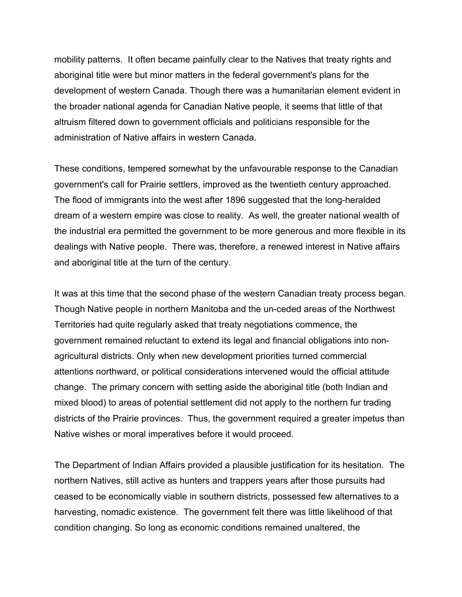mobility patterns. It often became painfully clear to the Natives that treaty rights and aboriginal title were but minor matters in the federal government's plans for the development of western Canada. Though there was a humanitarian element evident in the broader national agenda for Canadian Native people, it seems that little of that altruism filtered down to government officials and politicians responsible for the administration of Native affairs in western Canada.

These conditions, tempered somewhat by the unfavourable response to the Canadian government's call for Prairie settlers, improved as the twentieth century approached. The flood of immigrants into the west after 1896 suggested that the long-heralded dream of a western empire was close to reality. As well, the greater national wealth of the industrial era permitted the government to be more generous and more flexible in its dealings with Native people. There was, therefore, a renewed interest in Native affairs and aboriginal title at the turn of the century.

It was at this time that the second phase of the western Canadian treaty process began. Though Native people in northern Manitoba and the un-ceded areas of the Northwest Territories had quite regularly asked that treaty negotiations commence, the government remained reluctant to extend its legal and financial obligations into nonagricultural districts. Only when new development priorities turned commercial attentions northward, or political considerations intervened would the official attitude change. The primary concern with setting aside the aboriginal title (both Indian and mixed blood) to areas of potential settlement did not apply to the northern fur trading districts of the Prairie provinces. Thus, the government required a greater impetus than Native wishes or moral imperatives before it would proceed.

The Department of Indian Affairs provided a plausible justification for its hesitation. The northern Natives, still active as hunters and trappers years after those pursuits had ceased to be economically viable in southern districts, possessed few alternatives to a harvesting, nomadic existence. The government felt there was little likelihood of that condition changing. So long as economic conditions remained unaltered, the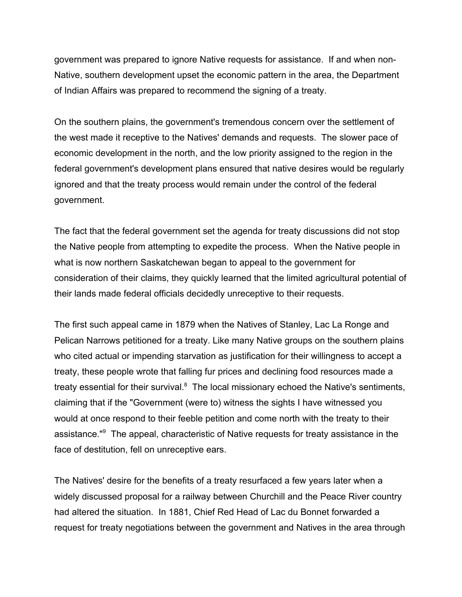government was prepared to ignore Native requests for assistance. If and when non-Native, southern development upset the economic pattern in the area, the Department of Indian Affairs was prepared to recommend the signing of a treaty.

On the southern plains, the government's tremendous concern over the settlement of the west made it receptive to the Natives' demands and requests. The slower pace of economic development in the north, and the low priority assigned to the region in the federal government's development plans ensured that native desires would be regularly ignored and that the treaty process would remain under the control of the federal government.

The fact that the federal government set the agenda for treaty discussions did not stop the Native people from attempting to expedite the process. When the Native people in what is now northern Saskatchewan began to appeal to the government for consideration of their claims, they quickly learned that the limited agricultural potential of their lands made federal officials decidedly unreceptive to their requests.

The first such appeal came in 1879 when the Natives of Stanley, Lac La Ronge and Pelican Narrows petitioned for a treaty. Like many Native groups on the southern plains who cited actual or impending starvation as justification for their willingness to accept a treaty, these people wrote that falling fur prices and declining food resources made a treaty essential for their survival.<sup>8</sup> The local missionary echoed the Native's sentiments, claiming that if the "Government (were to) witness the sights I have witnessed you would at once respond to their feeble petition and come north with the treaty to their assistance."<sup>9</sup> The appeal, characteristic of Native requests for treaty assistance in the face of destitution, fell on unreceptive ears.

The Natives' desire for the benefits of a treaty resurfaced a few years later when a widely discussed proposal for a railway between Churchill and the Peace River country had altered the situation. In 1881, Chief Red Head of Lac du Bonnet forwarded a request for treaty negotiations between the government and Natives in the area through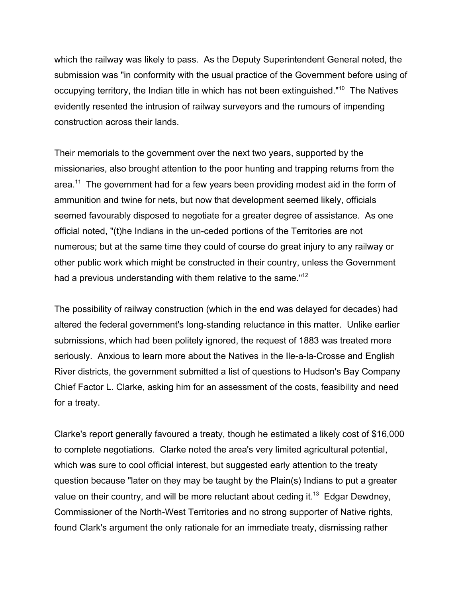which the railway was likely to pass. As the Deputy Superintendent General noted, the submission was "in conformity with the usual practice of the Government before using of occupying territory, the Indian title in which has not been extinguished."<sup>10</sup> The Natives evidently resented the intrusion of railway surveyors and the rumours of impending construction across their lands.

Their memorials to the government over the next two years, supported by the missionaries, also brought attention to the poor hunting and trapping returns from the area.<sup>11</sup> The government had for a few years been providing modest aid in the form of ammunition and twine for nets, but now that development seemed likely, officials seemed favourably disposed to negotiate for a greater degree of assistance. As one official noted, "(t)he Indians in the un-ceded portions of the Territories are not numerous; but at the same time they could of course do great injury to any railway or other public work which might be constructed in their country, unless the Government had a previous understanding with them relative to the same."<sup>12</sup>

The possibility of railway construction (which in the end was delayed for decades) had altered the federal government's long-standing reluctance in this matter. Unlike earlier submissions, which had been politely ignored, the request of 1883 was treated more seriously. Anxious to learn more about the Natives in the Ile-a-la-Crosse and English River districts, the government submitted a list of questions to Hudson's Bay Company Chief Factor L. Clarke, asking him for an assessment of the costs, feasibility and need for a treaty.

Clarke's report generally favoured a treaty, though he estimated a likely cost of \$16,000 to complete negotiations. Clarke noted the area's very limited agricultural potential, which was sure to cool official interest, but suggested early attention to the treaty question because "later on they may be taught by the Plain(s) Indians to put a greater value on their country, and will be more reluctant about ceding it.<sup>13</sup> Edgar Dewdney, Commissioner of the North-West Territories and no strong supporter of Native rights, found Clark's argument the only rationale for an immediate treaty, dismissing rather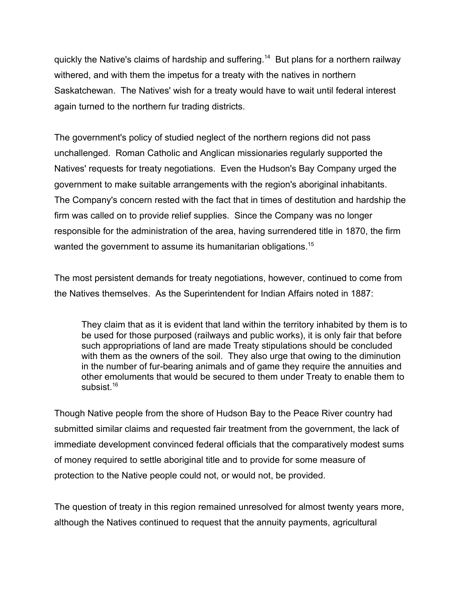quickly the Native's claims of hardship and suffering.14 But plans for a northern railway withered, and with them the impetus for a treaty with the natives in northern Saskatchewan. The Natives' wish for a treaty would have to wait until federal interest again turned to the northern fur trading districts.

The government's policy of studied neglect of the northern regions did not pass unchallenged. Roman Catholic and Anglican missionaries regularly supported the Natives' requests for treaty negotiations. Even the Hudson's Bay Company urged the government to make suitable arrangements with the region's aboriginal inhabitants. The Company's concern rested with the fact that in times of destitution and hardship the firm was called on to provide relief supplies. Since the Company was no longer responsible for the administration of the area, having surrendered title in 1870, the firm wanted the government to assume its humanitarian obligations.<sup>15</sup>

The most persistent demands for treaty negotiations, however, continued to come from the Natives themselves. As the Superintendent for Indian Affairs noted in 1887:

They claim that as it is evident that land within the territory inhabited by them is to be used for those purposed (railways and public works), it is only fair that before such appropriations of land are made Treaty stipulations should be concluded with them as the owners of the soil. They also urge that owing to the diminution in the number of fur-bearing animals and of game they require the annuities and other emoluments that would be secured to them under Treaty to enable them to subsist $16$ 

Though Native people from the shore of Hudson Bay to the Peace River country had submitted similar claims and requested fair treatment from the government, the lack of immediate development convinced federal officials that the comparatively modest sums of money required to settle aboriginal title and to provide for some measure of protection to the Native people could not, or would not, be provided.

The question of treaty in this region remained unresolved for almost twenty years more, although the Natives continued to request that the annuity payments, agricultural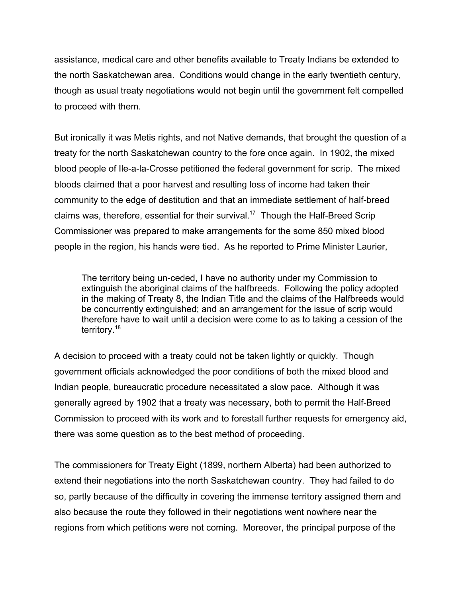assistance, medical care and other benefits available to Treaty Indians be extended to the north Saskatchewan area. Conditions would change in the early twentieth century, though as usual treaty negotiations would not begin until the government felt compelled to proceed with them.

But ironically it was Metis rights, and not Native demands, that brought the question of a treaty for the north Saskatchewan country to the fore once again. In 1902, the mixed blood people of Ile-a-la-Crosse petitioned the federal government for scrip. The mixed bloods claimed that a poor harvest and resulting loss of income had taken their community to the edge of destitution and that an immediate settlement of half-breed claims was, therefore, essential for their survival.<sup>17</sup> Though the Half-Breed Scrip Commissioner was prepared to make arrangements for the some 850 mixed blood people in the region, his hands were tied. As he reported to Prime Minister Laurier,

The territory being un-ceded, I have no authority under my Commission to extinguish the aboriginal claims of the halfbreeds. Following the policy adopted in the making of Treaty 8, the Indian Title and the claims of the Halfbreeds would be concurrently extinguished; and an arrangement for the issue of scrip would therefore have to wait until a decision were come to as to taking a cession of the territory.<sup>18</sup>

A decision to proceed with a treaty could not be taken lightly or quickly. Though government officials acknowledged the poor conditions of both the mixed blood and Indian people, bureaucratic procedure necessitated a slow pace. Although it was generally agreed by 1902 that a treaty was necessary, both to permit the Half-Breed Commission to proceed with its work and to forestall further requests for emergency aid, there was some question as to the best method of proceeding.

The commissioners for Treaty Eight (1899, northern Alberta) had been authorized to extend their negotiations into the north Saskatchewan country. They had failed to do so, partly because of the difficulty in covering the immense territory assigned them and also because the route they followed in their negotiations went nowhere near the regions from which petitions were not coming. Moreover, the principal purpose of the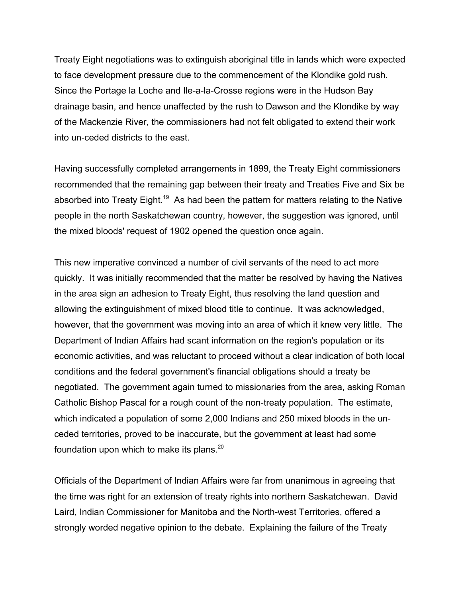Treaty Eight negotiations was to extinguish aboriginal title in lands which were expected to face development pressure due to the commencement of the Klondike gold rush. Since the Portage la Loche and Ile-a-la-Crosse regions were in the Hudson Bay drainage basin, and hence unaffected by the rush to Dawson and the Klondike by way of the Mackenzie River, the commissioners had not felt obligated to extend their work into un-ceded districts to the east.

Having successfully completed arrangements in 1899, the Treaty Eight commissioners recommended that the remaining gap between their treaty and Treaties Five and Six be absorbed into Treaty Eight.<sup>19</sup> As had been the pattern for matters relating to the Native people in the north Saskatchewan country, however, the suggestion was ignored, until the mixed bloods' request of 1902 opened the question once again.

This new imperative convinced a number of civil servants of the need to act more quickly. It was initially recommended that the matter be resolved by having the Natives in the area sign an adhesion to Treaty Eight, thus resolving the land question and allowing the extinguishment of mixed blood title to continue. It was acknowledged, however, that the government was moving into an area of which it knew very little. The Department of Indian Affairs had scant information on the region's population or its economic activities, and was reluctant to proceed without a clear indication of both local conditions and the federal government's financial obligations should a treaty be negotiated. The government again turned to missionaries from the area, asking Roman Catholic Bishop Pascal for a rough count of the non-treaty population. The estimate, which indicated a population of some 2,000 Indians and 250 mixed bloods in the unceded territories, proved to be inaccurate, but the government at least had some foundation upon which to make its plans. $20$ 

Officials of the Department of Indian Affairs were far from unanimous in agreeing that the time was right for an extension of treaty rights into northern Saskatchewan. David Laird, Indian Commissioner for Manitoba and the North-west Territories, offered a strongly worded negative opinion to the debate. Explaining the failure of the Treaty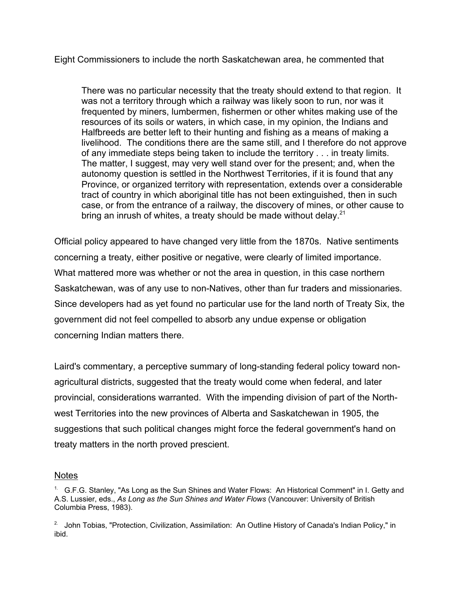Eight Commissioners to include the north Saskatchewan area, he commented that

There was no particular necessity that the treaty should extend to that region. It was not a territory through which a railway was likely soon to run, nor was it frequented by miners, lumbermen, fishermen or other whites making use of the resources of its soils or waters, in which case, in my opinion, the Indians and Halfbreeds are better left to their hunting and fishing as a means of making a livelihood. The conditions there are the same still, and I therefore do not approve of any immediate steps being taken to include the territory . . . in treaty limits. The matter, I suggest, may very well stand over for the present; and, when the autonomy question is settled in the Northwest Territories, if it is found that any Province, or organized territory with representation, extends over a considerable tract of country in which aboriginal title has not been extinguished, then in such case, or from the entrance of a railway, the discovery of mines, or other cause to bring an inrush of whites, a treaty should be made without delay.  $21$ 

Official policy appeared to have changed very little from the 1870s. Native sentiments concerning a treaty, either positive or negative, were clearly of limited importance. What mattered more was whether or not the area in question, in this case northern Saskatchewan, was of any use to non-Natives, other than fur traders and missionaries. Since developers had as yet found no particular use for the land north of Treaty Six, the government did not feel compelled to absorb any undue expense or obligation concerning Indian matters there.

Laird's commentary, a perceptive summary of long-standing federal policy toward nonagricultural districts, suggested that the treaty would come when federal, and later provincial, considerations warranted. With the impending division of part of the Northwest Territories into the new provinces of Alberta and Saskatchewan in 1905, the suggestions that such political changes might force the federal government's hand on treaty matters in the north proved prescient.

## Notes

<sup>&</sup>lt;sup>1.</sup> G.F.G. Stanley, "As Long as the Sun Shines and Water Flows: An Historical Comment" in I. Getty and A.S. Lussier, eds., *As Long as the Sun Shines and Water Flows* (Vancouver: University of British Columbia Press, 1983).

<sup>&</sup>lt;sup>2.</sup> John Tobias, "Protection, Civilization, Assimilation: An Outline History of Canada's Indian Policy," in ibid.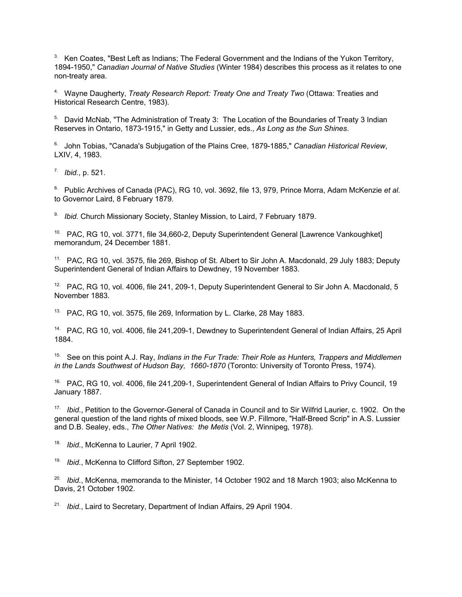$3.$  Ken Coates, "Best Left as Indians; The Federal Government and the Indians of the Yukon Territory, 1894-1950," *Canadian Journal of Native Studies* (Winter 1984) describes this process as it relates to one non-treaty area.

4. Wayne Daugherty, *Treaty Research Report: Treaty One and Treaty Two* (Ottawa: Treaties and Historical Research Centre, 1983).

<sup>5.</sup> David McNab, "The Administration of Treaty 3: The Location of the Boundaries of Treaty 3 Indian Reserves in Ontario, 1873-1915," in Getty and Lussier, eds., *As Long as the Sun Shines*.

6. John Tobias, "Canada's Subjugation of the Plains Cree, 1879-1885," *Canadian Historical Review*, LXIV, 4, 1983.

7. *Ibid.*, p. 521.

8. Public Archives of Canada (PAC), RG 10, vol. 3692, file 13, 979, Prince Morra, Adam McKenzie *et al.* to Governor Laird, 8 February 1879.

9. *Ibid.* Church Missionary Society, Stanley Mission, to Laird, 7 February 1879.

<sup>10.</sup> PAC, RG 10, vol. 3771, file 34,660-2, Deputy Superintendent General [Lawrence Vankoughket] memorandum, 24 December 1881.

11. PAC, RG 10, vol. 3575, file 269, Bishop of St. Albert to Sir John A. Macdonald, 29 July 1883; Deputy Superintendent General of Indian Affairs to Dewdney, 19 November 1883.

<sup>12.</sup> PAC, RG 10, vol. 4006, file 241, 209-1, Deputy Superintendent General to Sir John A. Macdonald, 5 November 1883.

<sup>13.</sup> PAC, RG 10, vol. 3575, file 269, Information by L. Clarke, 28 May 1883.

14. PAC, RG 10, vol. 4006, file 241,209-1, Dewdney to Superintendent General of Indian Affairs, 25 April 1884.

15. See on this point A.J. Ray, *Indians in the Fur Trade: Their Role as Hunters, Trappers and Middlemen in the Lands Southwest of Hudson Bay, 1660-1870* (Toronto: University of Toronto Press, 1974).

<sup>16.</sup> PAC, RG 10, vol. 4006, file 241,209-1, Superintendent General of Indian Affairs to Privy Council, 19 January 1887.

17. *Ibid.*, Petition to the Governor-General of Canada in Council and to Sir Wilfrid Laurier, c. 1902. On the general question of the land rights of mixed bloods, see W.P. Fillmore, "Half-Breed Scrip" in A.S. Lussier and D.B. Sealey, eds., *The Other Natives: the Metis* (Vol. 2, Winnipeg, 1978).

18. *Ibid.*, McKenna to Laurier, 7 April 1902.

19. *Ibid.*, McKenna to Clifford Sifton, 27 September 1902.

20. *Ibid.*, McKenna, memoranda to the Minister, 14 October 1902 and 18 March 1903; also McKenna to Davis, 21 October 1902.

21. *Ibid.*, Laird to Secretary, Department of Indian Affairs, 29 April 1904.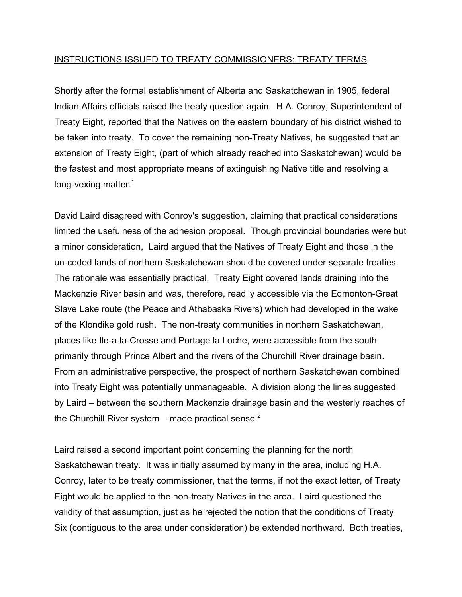## INSTRUCTIONS ISSUED TO TREATY COMMISSIONERS: TREATY TERMS

Shortly after the formal establishment of Alberta and Saskatchewan in 1905, federal Indian Affairs officials raised the treaty question again. H.A. Conroy, Superintendent of Treaty Eight, reported that the Natives on the eastern boundary of his district wished to be taken into treaty. To cover the remaining non-Treaty Natives, he suggested that an extension of Treaty Eight, (part of which already reached into Saskatchewan) would be the fastest and most appropriate means of extinguishing Native title and resolving a long-vexing matter.<sup>1</sup>

David Laird disagreed with Conroy's suggestion, claiming that practical considerations limited the usefulness of the adhesion proposal. Though provincial boundaries were but a minor consideration, Laird argued that the Natives of Treaty Eight and those in the un-ceded lands of northern Saskatchewan should be covered under separate treaties. The rationale was essentially practical. Treaty Eight covered lands draining into the Mackenzie River basin and was, therefore, readily accessible via the Edmonton-Great Slave Lake route (the Peace and Athabaska Rivers) which had developed in the wake of the Klondike gold rush. The non-treaty communities in northern Saskatchewan, places like Ile-a-la-Crosse and Portage la Loche, were accessible from the south primarily through Prince Albert and the rivers of the Churchill River drainage basin. From an administrative perspective, the prospect of northern Saskatchewan combined into Treaty Eight was potentially unmanageable. A division along the lines suggested by Laird – between the southern Mackenzie drainage basin and the westerly reaches of the Churchill River system – made practical sense. $2$ 

Laird raised a second important point concerning the planning for the north Saskatchewan treaty. It was initially assumed by many in the area, including H.A. Conroy, later to be treaty commissioner, that the terms, if not the exact letter, of Treaty Eight would be applied to the non-treaty Natives in the area. Laird questioned the validity of that assumption, just as he rejected the notion that the conditions of Treaty Six (contiguous to the area under consideration) be extended northward. Both treaties,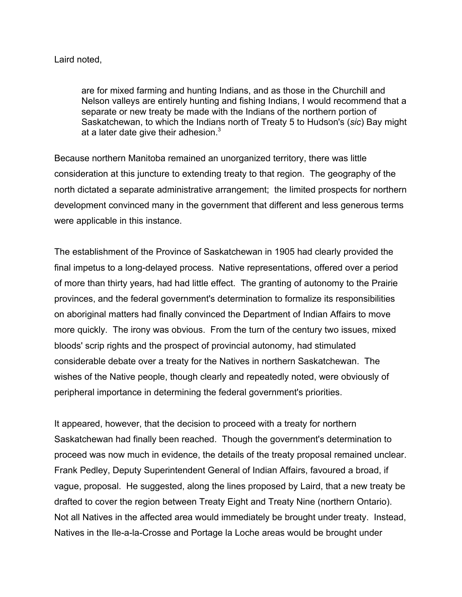## Laird noted,

are for mixed farming and hunting Indians, and as those in the Churchill and Nelson valleys are entirely hunting and fishing Indians, I would recommend that a separate or new treaty be made with the Indians of the northern portion of Saskatchewan, to which the Indians north of Treaty 5 to Hudson's (*sic*) Bay might at a later date give their adhesion. $3 \overline{ }$ 

Because northern Manitoba remained an unorganized territory, there was little consideration at this juncture to extending treaty to that region. The geography of the north dictated a separate administrative arrangement; the limited prospects for northern development convinced many in the government that different and less generous terms were applicable in this instance.

The establishment of the Province of Saskatchewan in 1905 had clearly provided the final impetus to a long-delayed process. Native representations, offered over a period of more than thirty years, had had little effect. The granting of autonomy to the Prairie provinces, and the federal government's determination to formalize its responsibilities on aboriginal matters had finally convinced the Department of Indian Affairs to move more quickly. The irony was obvious. From the turn of the century two issues, mixed bloods' scrip rights and the prospect of provincial autonomy, had stimulated considerable debate over a treaty for the Natives in northern Saskatchewan. The wishes of the Native people, though clearly and repeatedly noted, were obviously of peripheral importance in determining the federal government's priorities.

It appeared, however, that the decision to proceed with a treaty for northern Saskatchewan had finally been reached. Though the government's determination to proceed was now much in evidence, the details of the treaty proposal remained unclear. Frank Pedley, Deputy Superintendent General of Indian Affairs, favoured a broad, if vague, proposal. He suggested, along the lines proposed by Laird, that a new treaty be drafted to cover the region between Treaty Eight and Treaty Nine (northern Ontario). Not all Natives in the affected area would immediately be brought under treaty. Instead, Natives in the Ile-a-la-Crosse and Portage la Loche areas would be brought under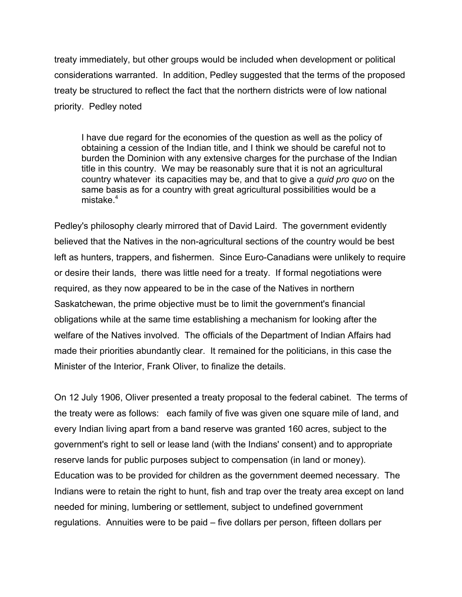treaty immediately, but other groups would be included when development or political considerations warranted. In addition, Pedley suggested that the terms of the proposed treaty be structured to reflect the fact that the northern districts were of low national priority. Pedley noted

I have due regard for the economies of the question as well as the policy of obtaining a cession of the Indian title, and I think we should be careful not to burden the Dominion with any extensive charges for the purchase of the Indian title in this country. We may be reasonably sure that it is not an agricultural country whatever its capacities may be, and that to give a *quid pro quo* on the same basis as for a country with great agricultural possibilities would be a mistake. $4$ 

Pedley's philosophy clearly mirrored that of David Laird. The government evidently believed that the Natives in the non-agricultural sections of the country would be best left as hunters, trappers, and fishermen. Since Euro-Canadians were unlikely to require or desire their lands, there was little need for a treaty. If formal negotiations were required, as they now appeared to be in the case of the Natives in northern Saskatchewan, the prime objective must be to limit the government's financial obligations while at the same time establishing a mechanism for looking after the welfare of the Natives involved. The officials of the Department of Indian Affairs had made their priorities abundantly clear. It remained for the politicians, in this case the Minister of the Interior, Frank Oliver, to finalize the details.

On 12 July 1906, Oliver presented a treaty proposal to the federal cabinet. The terms of the treaty were as follows: each family of five was given one square mile of land, and every Indian living apart from a band reserve was granted 160 acres, subject to the government's right to sell or lease land (with the Indians' consent) and to appropriate reserve lands for public purposes subject to compensation (in land or money). Education was to be provided for children as the government deemed necessary. The Indians were to retain the right to hunt, fish and trap over the treaty area except on land needed for mining, lumbering or settlement, subject to undefined government regulations. Annuities were to be paid – five dollars per person, fifteen dollars per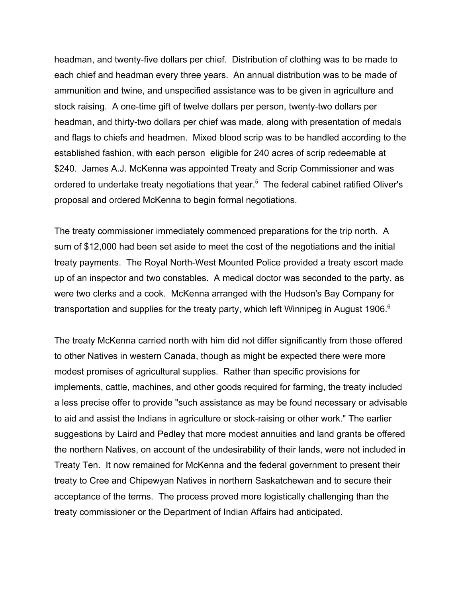headman, and twenty-five dollars per chief. Distribution of clothing was to be made to each chief and headman every three years. An annual distribution was to be made of ammunition and twine, and unspecified assistance was to be given in agriculture and stock raising. A one-time gift of twelve dollars per person, twenty-two dollars per headman, and thirty-two dollars per chief was made, along with presentation of medals and flags to chiefs and headmen. Mixed blood scrip was to be handled according to the established fashion, with each person eligible for 240 acres of scrip redeemable at \$240. James A.J. McKenna was appointed Treaty and Scrip Commissioner and was ordered to undertake treaty negotiations that year.<sup>5</sup> The federal cabinet ratified Oliver's proposal and ordered McKenna to begin formal negotiations.

The treaty commissioner immediately commenced preparations for the trip north. A sum of \$12,000 had been set aside to meet the cost of the negotiations and the initial treaty payments. The Royal North-West Mounted Police provided a treaty escort made up of an inspector and two constables. A medical doctor was seconded to the party, as were two clerks and a cook. McKenna arranged with the Hudson's Bay Company for transportation and supplies for the treaty party, which left Winnipeg in August 1906. $6$ 

The treaty McKenna carried north with him did not differ significantly from those offered to other Natives in western Canada, though as might be expected there were more modest promises of agricultural supplies. Rather than specific provisions for implements, cattle, machines, and other goods required for farming, the treaty included a less precise offer to provide "such assistance as may be found necessary or advisable to aid and assist the Indians in agriculture or stock-raising or other work." The earlier suggestions by Laird and Pedley that more modest annuities and land grants be offered the northern Natives, on account of the undesirability of their lands, were not included in Treaty Ten. It now remained for McKenna and the federal government to present their treaty to Cree and Chipewyan Natives in northern Saskatchewan and to secure their acceptance of the terms. The process proved more logistically challenging than the treaty commissioner or the Department of Indian Affairs had anticipated.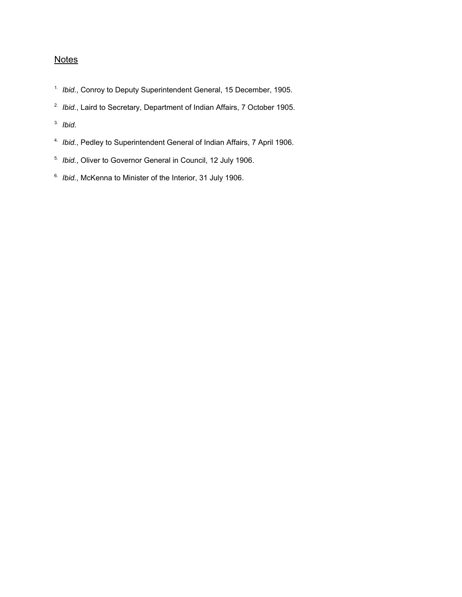# **Notes**

- 1. *Ibid.*, Conroy to Deputy Superintendent General, 15 December, 1905.
- 2. *Ibid.*, Laird to Secretary, Department of Indian Affairs, 7 October 1905.
- 3. *Ibid*.
- 4. *Ibid.*, Pedley to Superintendent General of Indian Affairs, 7 April 1906.
- 5. *Ibid.*, Oliver to Governor General in Council, 12 July 1906.
- 6. *Ibid.*, McKenna to Minister of the Interior, 31 July 1906.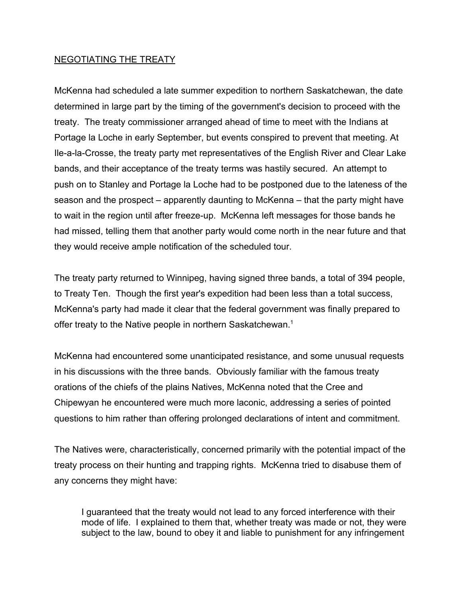## NEGOTIATING THE TREATY

McKenna had scheduled a late summer expedition to northern Saskatchewan, the date determined in large part by the timing of the government's decision to proceed with the treaty. The treaty commissioner arranged ahead of time to meet with the Indians at Portage la Loche in early September, but events conspired to prevent that meeting. At Ile-a-la-Crosse, the treaty party met representatives of the English River and Clear Lake bands, and their acceptance of the treaty terms was hastily secured. An attempt to push on to Stanley and Portage la Loche had to be postponed due to the lateness of the season and the prospect – apparently daunting to McKenna – that the party might have to wait in the region until after freeze-up. McKenna left messages for those bands he had missed, telling them that another party would come north in the near future and that they would receive ample notification of the scheduled tour.

The treaty party returned to Winnipeg, having signed three bands, a total of 394 people, to Treaty Ten. Though the first year's expedition had been less than a total success, McKenna's party had made it clear that the federal government was finally prepared to offer treaty to the Native people in northern Saskatchewan.<sup>1</sup>

McKenna had encountered some unanticipated resistance, and some unusual requests in his discussions with the three bands. Obviously familiar with the famous treaty orations of the chiefs of the plains Natives, McKenna noted that the Cree and Chipewyan he encountered were much more laconic, addressing a series of pointed questions to him rather than offering prolonged declarations of intent and commitment.

The Natives were, characteristically, concerned primarily with the potential impact of the treaty process on their hunting and trapping rights. McKenna tried to disabuse them of any concerns they might have:

I guaranteed that the treaty would not lead to any forced interference with their mode of life. I explained to them that, whether treaty was made or not, they were subject to the law, bound to obey it and liable to punishment for any infringement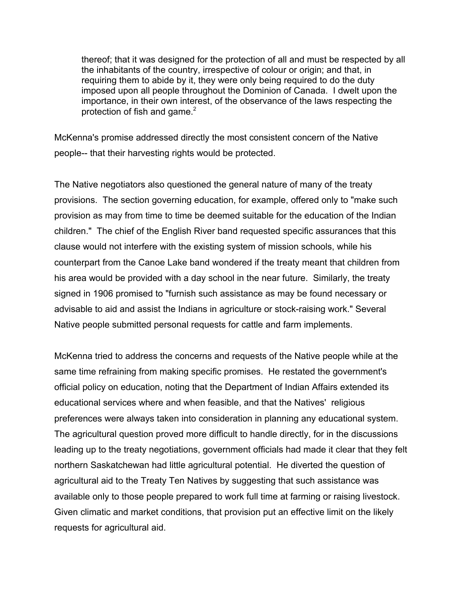thereof; that it was designed for the protection of all and must be respected by all the inhabitants of the country, irrespective of colour or origin; and that, in requiring them to abide by it, they were only being required to do the duty imposed upon all people throughout the Dominion of Canada. I dwelt upon the importance, in their own interest, of the observance of the laws respecting the protection of fish and game. $2$ 

McKenna's promise addressed directly the most consistent concern of the Native people-- that their harvesting rights would be protected.

The Native negotiators also questioned the general nature of many of the treaty provisions. The section governing education, for example, offered only to "make such provision as may from time to time be deemed suitable for the education of the Indian children." The chief of the English River band requested specific assurances that this clause would not interfere with the existing system of mission schools, while his counterpart from the Canoe Lake band wondered if the treaty meant that children from his area would be provided with a day school in the near future. Similarly, the treaty signed in 1906 promised to "furnish such assistance as may be found necessary or advisable to aid and assist the Indians in agriculture or stock-raising work." Several Native people submitted personal requests for cattle and farm implements.

McKenna tried to address the concerns and requests of the Native people while at the same time refraining from making specific promises. He restated the government's official policy on education, noting that the Department of Indian Affairs extended its educational services where and when feasible, and that the Natives' religious preferences were always taken into consideration in planning any educational system. The agricultural question proved more difficult to handle directly, for in the discussions leading up to the treaty negotiations, government officials had made it clear that they felt northern Saskatchewan had little agricultural potential. He diverted the question of agricultural aid to the Treaty Ten Natives by suggesting that such assistance was available only to those people prepared to work full time at farming or raising livestock. Given climatic and market conditions, that provision put an effective limit on the likely requests for agricultural aid.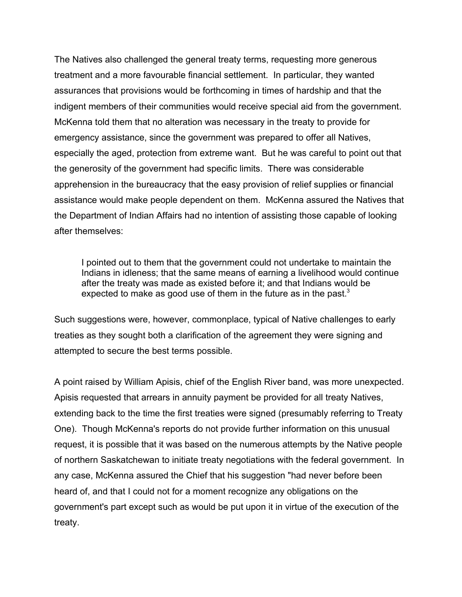The Natives also challenged the general treaty terms, requesting more generous treatment and a more favourable financial settlement. In particular, they wanted assurances that provisions would be forthcoming in times of hardship and that the indigent members of their communities would receive special aid from the government. McKenna told them that no alteration was necessary in the treaty to provide for emergency assistance, since the government was prepared to offer all Natives, especially the aged, protection from extreme want. But he was careful to point out that the generosity of the government had specific limits. There was considerable apprehension in the bureaucracy that the easy provision of relief supplies or financial assistance would make people dependent on them. McKenna assured the Natives that the Department of Indian Affairs had no intention of assisting those capable of looking after themselves:

I pointed out to them that the government could not undertake to maintain the Indians in idleness; that the same means of earning a livelihood would continue after the treaty was made as existed before it; and that Indians would be expected to make as good use of them in the future as in the past. $3$ 

Such suggestions were, however, commonplace, typical of Native challenges to early treaties as they sought both a clarification of the agreement they were signing and attempted to secure the best terms possible.

A point raised by William Apisis, chief of the English River band, was more unexpected. Apisis requested that arrears in annuity payment be provided for all treaty Natives, extending back to the time the first treaties were signed (presumably referring to Treaty One). Though McKenna's reports do not provide further information on this unusual request, it is possible that it was based on the numerous attempts by the Native people of northern Saskatchewan to initiate treaty negotiations with the federal government. In any case, McKenna assured the Chief that his suggestion "had never before been heard of, and that I could not for a moment recognize any obligations on the government's part except such as would be put upon it in virtue of the execution of the treaty.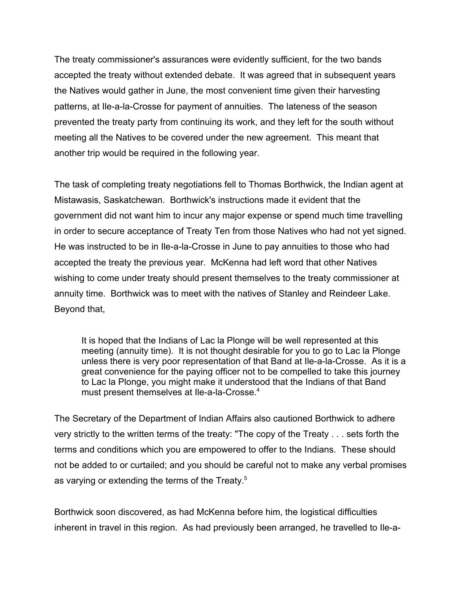The treaty commissioner's assurances were evidently sufficient, for the two bands accepted the treaty without extended debate. It was agreed that in subsequent years the Natives would gather in June, the most convenient time given their harvesting patterns, at Ile-a-la-Crosse for payment of annuities. The lateness of the season prevented the treaty party from continuing its work, and they left for the south without meeting all the Natives to be covered under the new agreement. This meant that another trip would be required in the following year.

The task of completing treaty negotiations fell to Thomas Borthwick, the Indian agent at Mistawasis, Saskatchewan. Borthwick's instructions made it evident that the government did not want him to incur any major expense or spend much time travelling in order to secure acceptance of Treaty Ten from those Natives who had not yet signed. He was instructed to be in Ile-a-la-Crosse in June to pay annuities to those who had accepted the treaty the previous year. McKenna had left word that other Natives wishing to come under treaty should present themselves to the treaty commissioner at annuity time. Borthwick was to meet with the natives of Stanley and Reindeer Lake. Beyond that,

It is hoped that the Indians of Lac la Plonge will be well represented at this meeting (annuity time). It is not thought desirable for you to go to Lac la Plonge unless there is very poor representation of that Band at Ile-a-la-Crosse. As it is a great convenience for the paying officer not to be compelled to take this journey to Lac la Plonge, you might make it understood that the Indians of that Band must present themselves at Ile-a-la-Crosse.<sup>4</sup>

The Secretary of the Department of Indian Affairs also cautioned Borthwick to adhere very strictly to the written terms of the treaty: "The copy of the Treaty . . . sets forth the terms and conditions which you are empowered to offer to the Indians. These should not be added to or curtailed; and you should be careful not to make any verbal promises as varying or extending the terms of the Treaty.<sup>5</sup>

Borthwick soon discovered, as had McKenna before him, the logistical difficulties inherent in travel in this region. As had previously been arranged, he travelled to Ile-a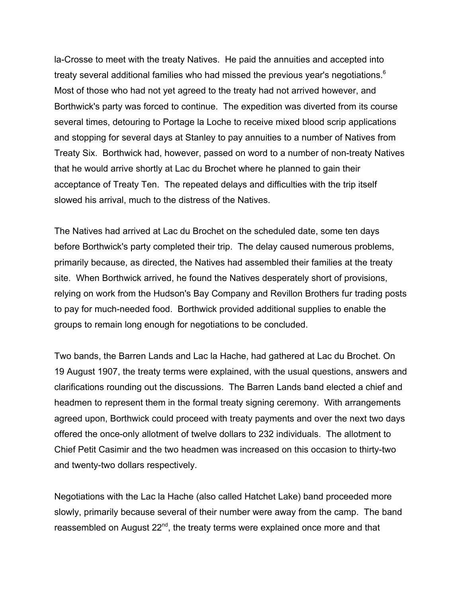la-Crosse to meet with the treaty Natives. He paid the annuities and accepted into treaty several additional families who had missed the previous year's negotiations.<sup>6</sup> Most of those who had not yet agreed to the treaty had not arrived however, and Borthwick's party was forced to continue. The expedition was diverted from its course several times, detouring to Portage la Loche to receive mixed blood scrip applications and stopping for several days at Stanley to pay annuities to a number of Natives from Treaty Six. Borthwick had, however, passed on word to a number of non-treaty Natives that he would arrive shortly at Lac du Brochet where he planned to gain their acceptance of Treaty Ten. The repeated delays and difficulties with the trip itself slowed his arrival, much to the distress of the Natives.

The Natives had arrived at Lac du Brochet on the scheduled date, some ten days before Borthwick's party completed their trip. The delay caused numerous problems, primarily because, as directed, the Natives had assembled their families at the treaty site. When Borthwick arrived, he found the Natives desperately short of provisions, relying on work from the Hudson's Bay Company and Revillon Brothers fur trading posts to pay for much-needed food. Borthwick provided additional supplies to enable the groups to remain long enough for negotiations to be concluded.

Two bands, the Barren Lands and Lac la Hache, had gathered at Lac du Brochet. On 19 August 1907, the treaty terms were explained, with the usual questions, answers and clarifications rounding out the discussions. The Barren Lands band elected a chief and headmen to represent them in the formal treaty signing ceremony. With arrangements agreed upon, Borthwick could proceed with treaty payments and over the next two days offered the once-only allotment of twelve dollars to 232 individuals. The allotment to Chief Petit Casimir and the two headmen was increased on this occasion to thirty-two and twenty-two dollars respectively.

Negotiations with the Lac la Hache (also called Hatchet Lake) band proceeded more slowly, primarily because several of their number were away from the camp. The band reassembled on August 22<sup>nd</sup>, the treaty terms were explained once more and that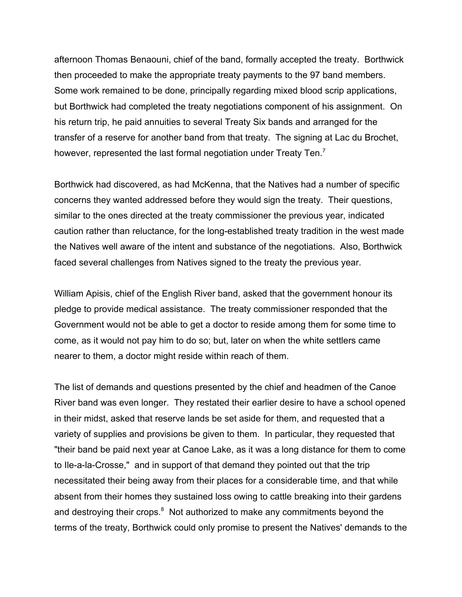afternoon Thomas Benaouni, chief of the band, formally accepted the treaty. Borthwick then proceeded to make the appropriate treaty payments to the 97 band members. Some work remained to be done, principally regarding mixed blood scrip applications, but Borthwick had completed the treaty negotiations component of his assignment. On his return trip, he paid annuities to several Treaty Six bands and arranged for the transfer of a reserve for another band from that treaty. The signing at Lac du Brochet, however, represented the last formal negotiation under Treaty Ten.<sup>7</sup>

Borthwick had discovered, as had McKenna, that the Natives had a number of specific concerns they wanted addressed before they would sign the treaty. Their questions, similar to the ones directed at the treaty commissioner the previous year, indicated caution rather than reluctance, for the long-established treaty tradition in the west made the Natives well aware of the intent and substance of the negotiations. Also, Borthwick faced several challenges from Natives signed to the treaty the previous year.

William Apisis, chief of the English River band, asked that the government honour its pledge to provide medical assistance. The treaty commissioner responded that the Government would not be able to get a doctor to reside among them for some time to come, as it would not pay him to do so; but, later on when the white settlers came nearer to them, a doctor might reside within reach of them.

The list of demands and questions presented by the chief and headmen of the Canoe River band was even longer. They restated their earlier desire to have a school opened in their midst, asked that reserve lands be set aside for them, and requested that a variety of supplies and provisions be given to them. In particular, they requested that "their band be paid next year at Canoe Lake, as it was a long distance for them to come to Ile-a-la-Crosse," and in support of that demand they pointed out that the trip necessitated their being away from their places for a considerable time, and that while absent from their homes they sustained loss owing to cattle breaking into their gardens and destroying their crops. $8$  Not authorized to make any commitments beyond the terms of the treaty, Borthwick could only promise to present the Natives' demands to the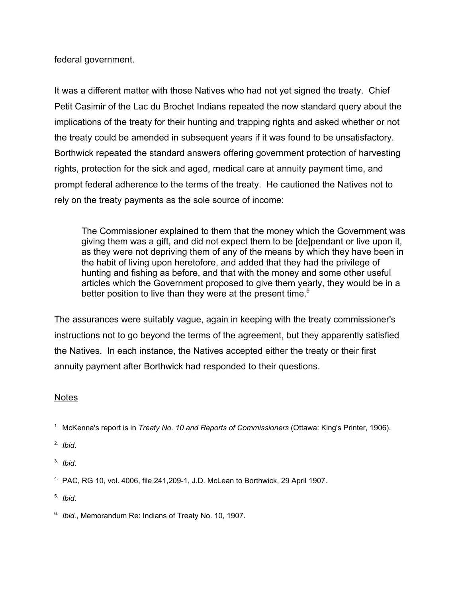federal government.

It was a different matter with those Natives who had not yet signed the treaty. Chief Petit Casimir of the Lac du Brochet Indians repeated the now standard query about the implications of the treaty for their hunting and trapping rights and asked whether or not the treaty could be amended in subsequent years if it was found to be unsatisfactory. Borthwick repeated the standard answers offering government protection of harvesting rights, protection for the sick and aged, medical care at annuity payment time, and prompt federal adherence to the terms of the treaty. He cautioned the Natives not to rely on the treaty payments as the sole source of income:

The Commissioner explained to them that the money which the Government was giving them was a gift, and did not expect them to be [de]pendant or live upon it, as they were not depriving them of any of the means by which they have been in the habit of living upon heretofore, and added that they had the privilege of hunting and fishing as before, and that with the money and some other useful articles which the Government proposed to give them yearly, they would be in a better position to live than they were at the present time. $9$ 

The assurances were suitably vague, again in keeping with the treaty commissioner's instructions not to go beyond the terms of the agreement, but they apparently satisfied the Natives. In each instance, the Natives accepted either the treaty or their first annuity payment after Borthwick had responded to their questions.

### **Notes**

1. McKenna's report is in *Treaty No. 10 and Reports of Commissioners* (Ottawa: King's Printer, 1906).

- 2. *Ibid*.
- 3. *Ibid*.
- 4. PAC, RG 10, vol. 4006, file 241,209-1, J.D. McLean to Borthwick, 29 April 1907.
- 5. *Ibid*.
- 6. *Ibid.*, Memorandum Re: Indians of Treaty No. 10, 1907.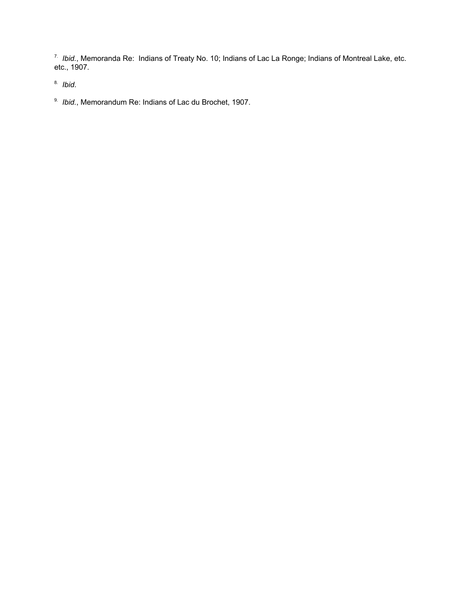7. *Ibid.*, Memoranda Re: Indians of Treaty No. 10; Indians of Lac La Ronge; Indians of Montreal Lake, etc. etc., 1907.

8. *Ibid*.

9. *Ibid.*, Memorandum Re: Indians of Lac du Brochet, 1907.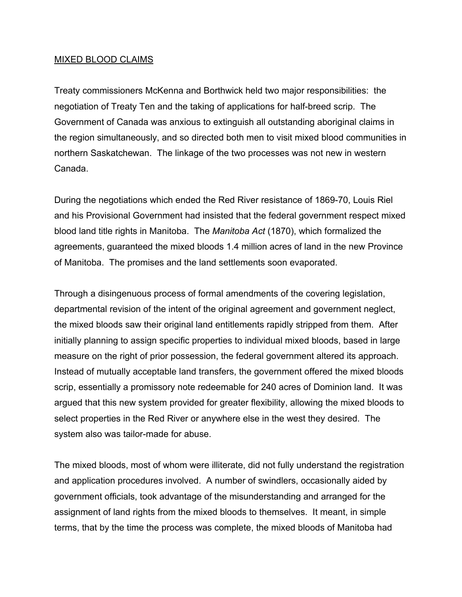### MIXED BLOOD CLAIMS

Treaty commissioners McKenna and Borthwick held two major responsibilities: the negotiation of Treaty Ten and the taking of applications for half-breed scrip. The Government of Canada was anxious to extinguish all outstanding aboriginal claims in the region simultaneously, and so directed both men to visit mixed blood communities in northern Saskatchewan. The linkage of the two processes was not new in western Canada.

During the negotiations which ended the Red River resistance of 1869-70, Louis Riel and his Provisional Government had insisted that the federal government respect mixed blood land title rights in Manitoba. The *Manitoba Act* (1870), which formalized the agreements, guaranteed the mixed bloods 1.4 million acres of land in the new Province of Manitoba. The promises and the land settlements soon evaporated.

Through a disingenuous process of formal amendments of the covering legislation, departmental revision of the intent of the original agreement and government neglect, the mixed bloods saw their original land entitlements rapidly stripped from them. After initially planning to assign specific properties to individual mixed bloods, based in large measure on the right of prior possession, the federal government altered its approach. Instead of mutually acceptable land transfers, the government offered the mixed bloods scrip, essentially a promissory note redeemable for 240 acres of Dominion land. It was argued that this new system provided for greater flexibility, allowing the mixed bloods to select properties in the Red River or anywhere else in the west they desired. The system also was tailor-made for abuse.

The mixed bloods, most of whom were illiterate, did not fully understand the registration and application procedures involved. A number of swindlers, occasionally aided by government officials, took advantage of the misunderstanding and arranged for the assignment of land rights from the mixed bloods to themselves. It meant, in simple terms, that by the time the process was complete, the mixed bloods of Manitoba had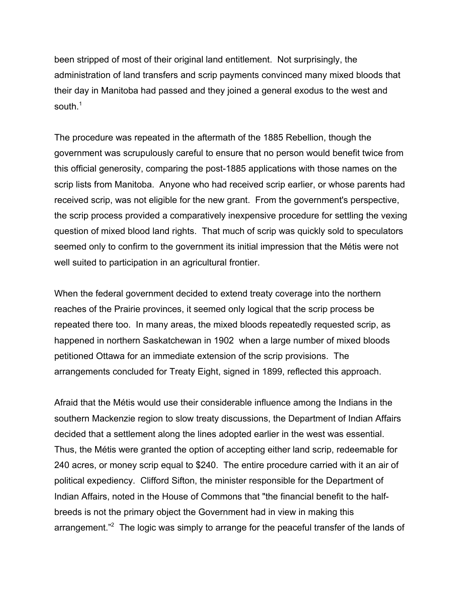been stripped of most of their original land entitlement. Not surprisingly, the administration of land transfers and scrip payments convinced many mixed bloods that their day in Manitoba had passed and they joined a general exodus to the west and south.<sup>1</sup>

The procedure was repeated in the aftermath of the 1885 Rebellion, though the government was scrupulously careful to ensure that no person would benefit twice from this official generosity, comparing the post-1885 applications with those names on the scrip lists from Manitoba. Anyone who had received scrip earlier, or whose parents had received scrip, was not eligible for the new grant. From the government's perspective, the scrip process provided a comparatively inexpensive procedure for settling the vexing question of mixed blood land rights. That much of scrip was quickly sold to speculators seemed only to confirm to the government its initial impression that the Métis were not well suited to participation in an agricultural frontier.

When the federal government decided to extend treaty coverage into the northern reaches of the Prairie provinces, it seemed only logical that the scrip process be repeated there too. In many areas, the mixed bloods repeatedly requested scrip, as happened in northern Saskatchewan in 1902 when a large number of mixed bloods petitioned Ottawa for an immediate extension of the scrip provisions. The arrangements concluded for Treaty Eight, signed in 1899, reflected this approach.

Afraid that the Métis would use their considerable influence among the Indians in the southern Mackenzie region to slow treaty discussions, the Department of Indian Affairs decided that a settlement along the lines adopted earlier in the west was essential. Thus, the Métis were granted the option of accepting either land scrip, redeemable for 240 acres, or money scrip equal to \$240. The entire procedure carried with it an air of political expediency. Clifford Sifton, the minister responsible for the Department of Indian Affairs, noted in the House of Commons that "the financial benefit to the halfbreeds is not the primary object the Government had in view in making this arrangement."<sup>2</sup> The logic was simply to arrange for the peaceful transfer of the lands of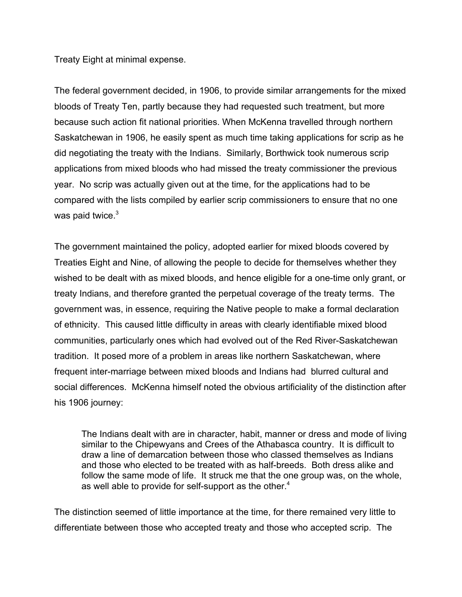Treaty Eight at minimal expense.

The federal government decided, in 1906, to provide similar arrangements for the mixed bloods of Treaty Ten, partly because they had requested such treatment, but more because such action fit national priorities. When McKenna travelled through northern Saskatchewan in 1906, he easily spent as much time taking applications for scrip as he did negotiating the treaty with the Indians. Similarly, Borthwick took numerous scrip applications from mixed bloods who had missed the treaty commissioner the previous year. No scrip was actually given out at the time, for the applications had to be compared with the lists compiled by earlier scrip commissioners to ensure that no one was paid twice.<sup>3</sup>

The government maintained the policy, adopted earlier for mixed bloods covered by Treaties Eight and Nine, of allowing the people to decide for themselves whether they wished to be dealt with as mixed bloods, and hence eligible for a one-time only grant, or treaty Indians, and therefore granted the perpetual coverage of the treaty terms. The government was, in essence, requiring the Native people to make a formal declaration of ethnicity. This caused little difficulty in areas with clearly identifiable mixed blood communities, particularly ones which had evolved out of the Red River-Saskatchewan tradition. It posed more of a problem in areas like northern Saskatchewan, where frequent inter-marriage between mixed bloods and Indians had blurred cultural and social differences. McKenna himself noted the obvious artificiality of the distinction after his 1906 journey:

The Indians dealt with are in character, habit, manner or dress and mode of living similar to the Chipewyans and Crees of the Athabasca country. It is difficult to draw a line of demarcation between those who classed themselves as Indians and those who elected to be treated with as half-breeds. Both dress alike and follow the same mode of life. It struck me that the one group was, on the whole, as well able to provide for self-support as the other.<sup>4</sup>

The distinction seemed of little importance at the time, for there remained very little to differentiate between those who accepted treaty and those who accepted scrip. The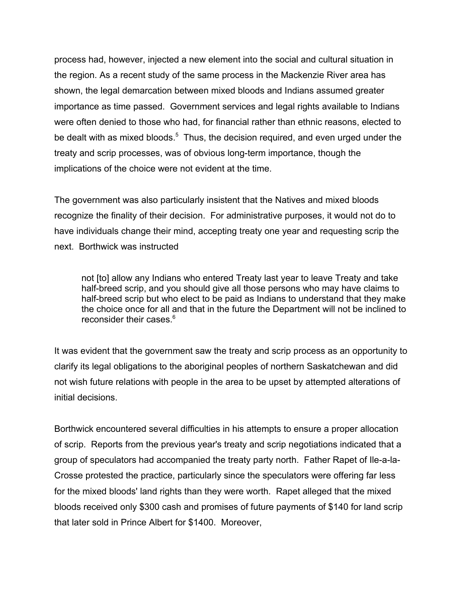process had, however, injected a new element into the social and cultural situation in the region. As a recent study of the same process in the Mackenzie River area has shown, the legal demarcation between mixed bloods and Indians assumed greater importance as time passed. Government services and legal rights available to Indians were often denied to those who had, for financial rather than ethnic reasons, elected to be dealt with as mixed bloods.<sup>5</sup> Thus, the decision required, and even urged under the treaty and scrip processes, was of obvious long-term importance, though the implications of the choice were not evident at the time.

The government was also particularly insistent that the Natives and mixed bloods recognize the finality of their decision. For administrative purposes, it would not do to have individuals change their mind, accepting treaty one year and requesting scrip the next. Borthwick was instructed

not [to] allow any Indians who entered Treaty last year to leave Treaty and take half-breed scrip, and you should give all those persons who may have claims to half-breed scrip but who elect to be paid as Indians to understand that they make the choice once for all and that in the future the Department will not be inclined to reconsider their cases.<sup>6</sup>

It was evident that the government saw the treaty and scrip process as an opportunity to clarify its legal obligations to the aboriginal peoples of northern Saskatchewan and did not wish future relations with people in the area to be upset by attempted alterations of initial decisions.

Borthwick encountered several difficulties in his attempts to ensure a proper allocation of scrip. Reports from the previous year's treaty and scrip negotiations indicated that a group of speculators had accompanied the treaty party north. Father Rapet of Ile-a-la-Crosse protested the practice, particularly since the speculators were offering far less for the mixed bloods' land rights than they were worth. Rapet alleged that the mixed bloods received only \$300 cash and promises of future payments of \$140 for land scrip that later sold in Prince Albert for \$1400. Moreover,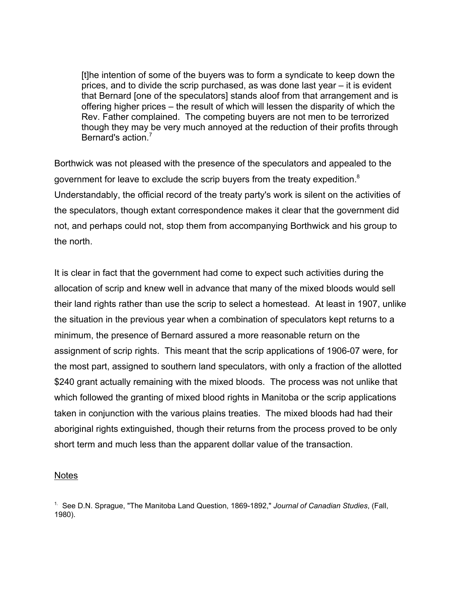[t]he intention of some of the buyers was to form a syndicate to keep down the prices, and to divide the scrip purchased, as was done last year – it is evident that Bernard [one of the speculators] stands aloof from that arrangement and is offering higher prices – the result of which will lessen the disparity of which the Rev. Father complained. The competing buyers are not men to be terrorized though they may be very much annoyed at the reduction of their profits through Bernard's action<sup>7</sup>

Borthwick was not pleased with the presence of the speculators and appealed to the government for leave to exclude the scrip buyers from the treaty expedition.<sup>8</sup> Understandably, the official record of the treaty party's work is silent on the activities of the speculators, though extant correspondence makes it clear that the government did not, and perhaps could not, stop them from accompanying Borthwick and his group to the north.

It is clear in fact that the government had come to expect such activities during the allocation of scrip and knew well in advance that many of the mixed bloods would sell their land rights rather than use the scrip to select a homestead. At least in 1907, unlike the situation in the previous year when a combination of speculators kept returns to a minimum, the presence of Bernard assured a more reasonable return on the assignment of scrip rights. This meant that the scrip applications of 1906-07 were, for the most part, assigned to southern land speculators, with only a fraction of the allotted \$240 grant actually remaining with the mixed bloods. The process was not unlike that which followed the granting of mixed blood rights in Manitoba or the scrip applications taken in conjunction with the various plains treaties. The mixed bloods had had their aboriginal rights extinguished, though their returns from the process proved to be only short term and much less than the apparent dollar value of the transaction.

### Notes

1. See D.N. Sprague, "The Manitoba Land Question, 1869-1892," *Journal of Canadian Studies*, (Fall, 1980).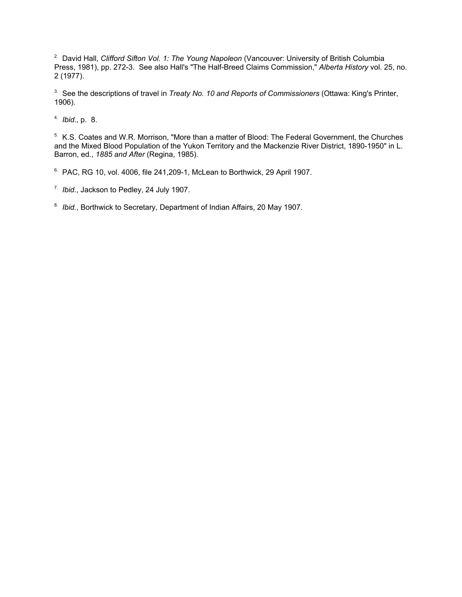2. David Hall, *Clifford Sifton Vol. 1: The Young Napoleon* (Vancouver: University of British Columbia Press, 1981), pp. 272-3. See also Hall's "The Half-Breed Claims Commission," *Alberta History* vol. 25, no. 2 (1977).

3. See the descriptions of travel in *Treaty No. 10 and Reports of Commissioners* (Ottawa: King's Printer, 1906).

4. *Ibid*., p. 8.

5. K.S. Coates and W.R. Morrison, "More than a matter of Blood: The Federal Government, the Churches and the Mixed Blood Population of the Yukon Territory and the Mackenzie River District, 1890-1950" in L. Barron, ed., *1885 and After* (Regina, 1985).

 $6.$  PAC, RG 10, vol. 4006, file 241, 209-1, McLean to Borthwick, 29 April 1907.

7. *Ibid.*, Jackson to Pedley, 24 July 1907.

8. *Ibid.*, Borthwick to Secretary, Department of Indian Affairs, 20 May 1907.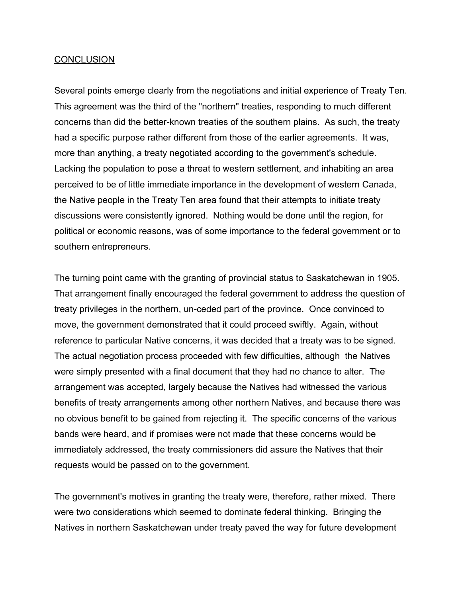### **CONCLUSION**

Several points emerge clearly from the negotiations and initial experience of Treaty Ten. This agreement was the third of the "northern" treaties, responding to much different concerns than did the better-known treaties of the southern plains. As such, the treaty had a specific purpose rather different from those of the earlier agreements. It was, more than anything, a treaty negotiated according to the government's schedule. Lacking the population to pose a threat to western settlement, and inhabiting an area perceived to be of little immediate importance in the development of western Canada, the Native people in the Treaty Ten area found that their attempts to initiate treaty discussions were consistently ignored. Nothing would be done until the region, for political or economic reasons, was of some importance to the federal government or to southern entrepreneurs.

The turning point came with the granting of provincial status to Saskatchewan in 1905. That arrangement finally encouraged the federal government to address the question of treaty privileges in the northern, un-ceded part of the province. Once convinced to move, the government demonstrated that it could proceed swiftly. Again, without reference to particular Native concerns, it was decided that a treaty was to be signed. The actual negotiation process proceeded with few difficulties, although the Natives were simply presented with a final document that they had no chance to alter. The arrangement was accepted, largely because the Natives had witnessed the various benefits of treaty arrangements among other northern Natives, and because there was no obvious benefit to be gained from rejecting it. The specific concerns of the various bands were heard, and if promises were not made that these concerns would be immediately addressed, the treaty commissioners did assure the Natives that their requests would be passed on to the government.

The government's motives in granting the treaty were, therefore, rather mixed. There were two considerations which seemed to dominate federal thinking. Bringing the Natives in northern Saskatchewan under treaty paved the way for future development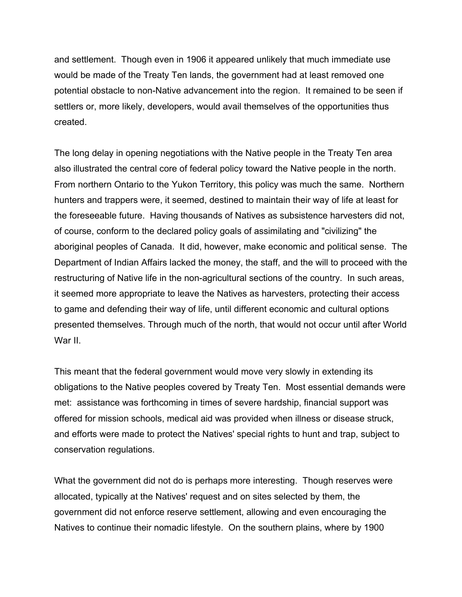and settlement. Though even in 1906 it appeared unlikely that much immediate use would be made of the Treaty Ten lands, the government had at least removed one potential obstacle to non-Native advancement into the region. It remained to be seen if settlers or, more likely, developers, would avail themselves of the opportunities thus created.

The long delay in opening negotiations with the Native people in the Treaty Ten area also illustrated the central core of federal policy toward the Native people in the north. From northern Ontario to the Yukon Territory, this policy was much the same. Northern hunters and trappers were, it seemed, destined to maintain their way of life at least for the foreseeable future. Having thousands of Natives as subsistence harvesters did not, of course, conform to the declared policy goals of assimilating and "civilizing" the aboriginal peoples of Canada. It did, however, make economic and political sense. The Department of Indian Affairs lacked the money, the staff, and the will to proceed with the restructuring of Native life in the non-agricultural sections of the country. In such areas, it seemed more appropriate to leave the Natives as harvesters, protecting their access to game and defending their way of life, until different economic and cultural options presented themselves. Through much of the north, that would not occur until after World War II.

This meant that the federal government would move very slowly in extending its obligations to the Native peoples covered by Treaty Ten. Most essential demands were met: assistance was forthcoming in times of severe hardship, financial support was offered for mission schools, medical aid was provided when illness or disease struck, and efforts were made to protect the Natives' special rights to hunt and trap, subject to conservation regulations.

What the government did not do is perhaps more interesting. Though reserves were allocated, typically at the Natives' request and on sites selected by them, the government did not enforce reserve settlement, allowing and even encouraging the Natives to continue their nomadic lifestyle. On the southern plains, where by 1900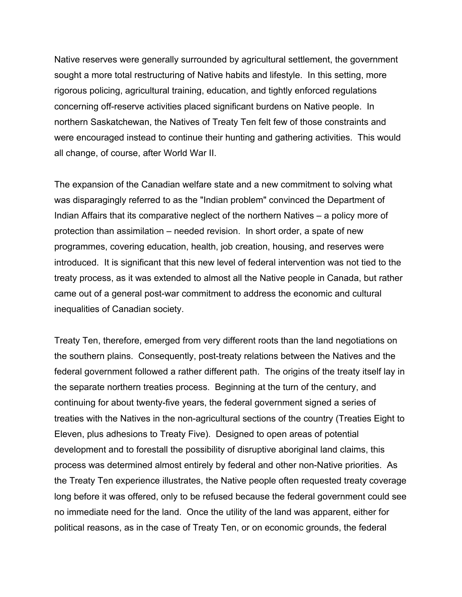Native reserves were generally surrounded by agricultural settlement, the government sought a more total restructuring of Native habits and lifestyle. In this setting, more rigorous policing, agricultural training, education, and tightly enforced regulations concerning off-reserve activities placed significant burdens on Native people. In northern Saskatchewan, the Natives of Treaty Ten felt few of those constraints and were encouraged instead to continue their hunting and gathering activities. This would all change, of course, after World War II.

The expansion of the Canadian welfare state and a new commitment to solving what was disparagingly referred to as the "Indian problem" convinced the Department of Indian Affairs that its comparative neglect of the northern Natives – a policy more of protection than assimilation – needed revision. In short order, a spate of new programmes, covering education, health, job creation, housing, and reserves were introduced. It is significant that this new level of federal intervention was not tied to the treaty process, as it was extended to almost all the Native people in Canada, but rather came out of a general post-war commitment to address the economic and cultural inequalities of Canadian society.

Treaty Ten, therefore, emerged from very different roots than the land negotiations on the southern plains. Consequently, post-treaty relations between the Natives and the federal government followed a rather different path. The origins of the treaty itself lay in the separate northern treaties process. Beginning at the turn of the century, and continuing for about twenty-five years, the federal government signed a series of treaties with the Natives in the non-agricultural sections of the country (Treaties Eight to Eleven, plus adhesions to Treaty Five). Designed to open areas of potential development and to forestall the possibility of disruptive aboriginal land claims, this process was determined almost entirely by federal and other non-Native priorities. As the Treaty Ten experience illustrates, the Native people often requested treaty coverage long before it was offered, only to be refused because the federal government could see no immediate need for the land. Once the utility of the land was apparent, either for political reasons, as in the case of Treaty Ten, or on economic grounds, the federal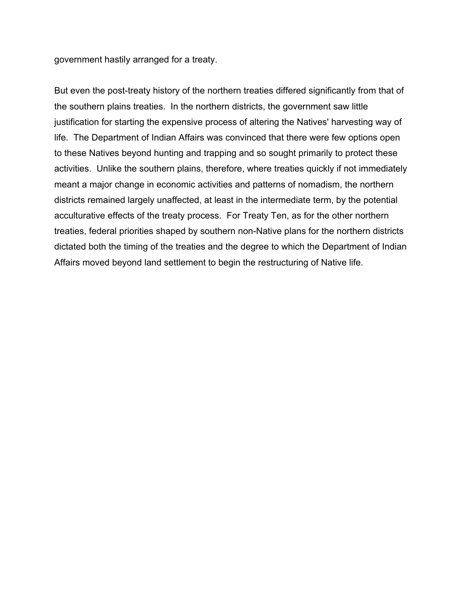government hastily arranged for a treaty.

But even the post-treaty history of the northern treaties differed significantly from that of the southern plains treaties. In the northern districts, the government saw little justification for starting the expensive process of altering the Natives' harvesting way of life. The Department of Indian Affairs was convinced that there were few options open to these Natives beyond hunting and trapping and so sought primarily to protect these activities. Unlike the southern plains, therefore, where treaties quickly if not immediately meant a major change in economic activities and patterns of nomadism, the northern districts remained largely unaffected, at least in the intermediate term, by the potential acculturative effects of the treaty process. For Treaty Ten, as for the other northern treaties, federal priorities shaped by southern non-Native plans for the northern districts dictated both the timing of the treaties and the degree to which the Department of Indian Affairs moved beyond land settlement to begin the restructuring of Native life.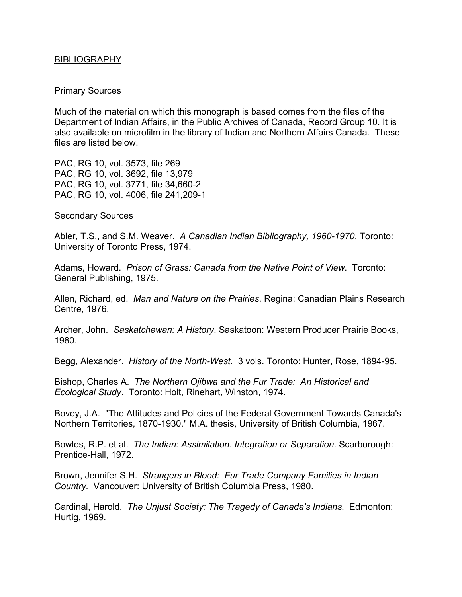### BIBLIOGRAPHY

#### Primary Sources

Much of the material on which this monograph is based comes from the files of the Department of Indian Affairs, in the Public Archives of Canada, Record Group 10. It is also available on microfilm in the library of Indian and Northern Affairs Canada. These files are listed below.

PAC, RG 10, vol. 3573, file 269 PAC, RG 10, vol. 3692, file 13,979 PAC, RG 10, vol. 3771, file 34,660-2 PAC, RG 10, vol. 4006, file 241,209-1

#### Secondary Sources

Abler, T.S., and S.M. Weaver. *A Canadian Indian Bibliography, 1960-1970*. Toronto: University of Toronto Press, 1974.

Adams, Howard. *Prison of Grass: Canada from the Native Point of View*. Toronto: General Publishing, 1975.

Allen, Richard, ed. *Man and Nature on the Prairies*, Regina: Canadian Plains Research Centre, 1976.

Archer, John. *Saskatchewan: A History*. Saskatoon: Western Producer Prairie Books, 1980.

Begg, Alexander. *History of the North-West*. 3 vols. Toronto: Hunter, Rose, 1894-95.

Bishop, Charles A. *The Northern Ojibwa and the Fur Trade: An Historical and Ecological Study*. Toronto: Holt, Rinehart, Winston, 1974.

Bovey, J.A. "The Attitudes and Policies of the Federal Government Towards Canada's Northern Territories, 1870-1930." M.A. thesis, University of British Columbia, 1967.

Bowles, R.P. et al. *The Indian: Assimilation. Integration or Separation*. Scarborough: Prentice-Hall, 1972.

Brown, Jennifer S.H. *Strangers in Blood: Fur Trade Company Families in Indian Country.* Vancouver: University of British Columbia Press, 1980.

Cardinal, Harold. *The Unjust Society: The Tragedy of Canada's Indians*. Edmonton: Hurtig, 1969.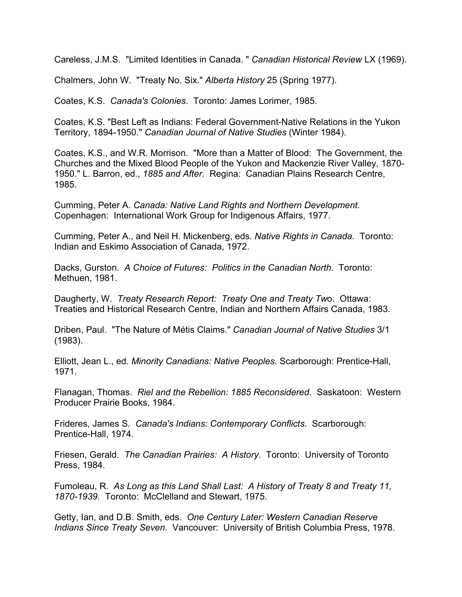Careless, J.M.S. "Limited Identities in Canada. " *Canadian Historical Review* LX (1969).

Chalmers, John W. "Treaty No. Six." *Alberta History* 25 (Spring 1977).

Coates, K.S. *Canada's Colonies*. Toronto: James Lorimer, 1985.

Coates, K.S. "Best Left as Indians: Federal Government-Native Relations in the Yukon Territory, 1894-1950." *Canadian Journal of Native Studies* (Winter 1984).

Coates, K.S., and W.R. Morrison. "More than a Matter of Blood: The Government, the Churches and the Mixed Blood People of the Yukon and Mackenzie River Valley, 1870- 1950." L. Barron, ed., *1885 and After*. Regina: Canadian Plains Research Centre, 1985.

Cumming, Peter A. *Canada: Native Land Rights and Northern Development*. Copenhagen: International Work Group for Indigenous Affairs, 1977.

Cumming, Peter A., and Neil H. Mickenberg, eds. *Native Rights in Canada*. Toronto: Indian and Eskimo Association of Canada, 1972.

Dacks, Gurston. *A Choice of Futures: Politics in the Canadian North*. Toronto: Methuen, 1981.

Daugherty, W. *Treaty Research Report: Treaty One and Treaty Tw*o. Ottawa: Treaties and Historical Research Centre, Indian and Northern Affairs Canada, 1983.

Driben, Paul. "The Nature of Métis Claims." *Canadian Journal of Native Studies* 3/1 (1983).

Elliott, Jean L., ed. *Minority Canadians: Native Peoples*. Scarborough: Prentice-Hall, 1971.

Flanagan, Thomas. *Riel and the Rebellion: 1885 Reconsidered*. Saskatoon: Western Producer Prairie Books, 1984.

Frideres, James S*. Canada's Indians: Contemporary Conflicts*. Scarborough: Prentice-Hall, 1974.

Friesen, Gerald. *The Canadian Prairies: A History*. Toronto: University of Toronto Press, 1984.

Fumoleau, R*. As Long as this Land Shall Last: A History of Treaty 8 and Treaty 11, 1870-1939.* Toronto: McClelland and Stewart, 1975.

Getty, Ian, and D.B. Smith, eds. *One Century Later: Western Canadian Reserve Indians Since Treaty Seven.* Vancouver: University of British Columbia Press, 1978.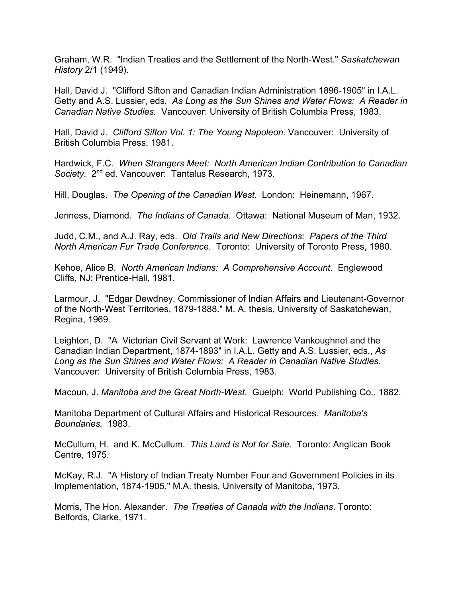Graham, W.R. "Indian Treaties and the Settlement of the North-West." *Saskatchewan History* 2/1 (1949).

Hall, David J. "Clifford Sifton and Canadian Indian Administration 1896-1905" in I.A.L. Getty and A.S. Lussier, eds*. As Long as the Sun Shines and Water Flows: A Reader in Canadian Native Studies.* Vancouver: University of British Columbia Press, 1983.

Hall, David J. *Clifford Sifton Vol. 1: The Young Napoleon*. Vancouver: University of British Columbia Press, 1981.

Hardwick, F.C. *When Strangers Meet: North American Indian Contribution to Canadian* Society. 2<sup>nd</sup> ed. Vancouver: Tantalus Research, 1973.

Hill, Douglas. *The Opening of the Canadian West*. London: Heinemann, 1967.

Jenness, Diamond. *The Indians of Canada*. Ottawa: National Museum of Man, 1932.

Judd, C.M., and A.J. Ray, eds. *Old Trails and New Directions: Papers of the Third North American Fur Trade Conference*. Toronto: University of Toronto Press, 1980.

Kehoe, Alice B. *North American Indians: A Comprehensive Account*. Englewood Cliffs, NJ: Prentice-Hall, 1981.

Larmour, J. "Edgar Dewdney, Commissioner of Indian Affairs and Lieutenant-Governor of the North-West Territories, 1879-1888." M. A. thesis, University of Saskatchewan, Regina, 1969.

Leighton, D. "A Victorian Civil Servant at Work: Lawrence Vankoughnet and the Canadian Indian Department, 1874-1893" in I.A.L. Getty and A.S. Lussier, eds., *As Long as the Sun Shines and Water Flows: A Reader in Canadian Native Studies*. Vancouver: University of British Columbia Press, 1983.

Macoun, J. *Manitoba and the Great North-West*. Guelph: World Publishing Co., 1882.

Manitoba Department of Cultural Affairs and Historical Resources. *Manitoba's Boundaries.* 1983.

McCullum, H. and K. McCullum. *This Land is Not for Sale*. Toronto: Anglican Book Centre, 1975.

McKay, R.J. "A History of Indian Treaty Number Four and Government Policies in its Implementation, 1874-1905." M.A. thesis, University of Manitoba, 1973.

Morris, The Hon. Alexander. *The Treaties of Canada with the Indians*. Toronto: Belfords, Clarke, 1971.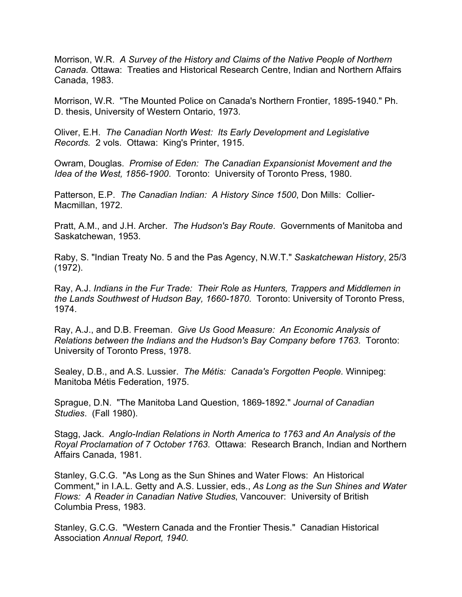Morrison, W.R. *A Survey of the History and Claims of the Native People of Northern Canada.* Ottawa: Treaties and Historical Research Centre, Indian and Northern Affairs Canada, 1983.

Morrison, W.R. "The Mounted Police on Canada's Northern Frontier, 1895-1940." Ph. D. thesis, University of Western Ontario, 1973.

Oliver, E.H. *The Canadian North West: Its Early Development and Legislative Records.* 2 vols. Ottawa: King's Printer, 1915.

Owram, Douglas. *Promise of Eden: The Canadian Expansionist Movement and the Idea of the West, 1856-1900*. Toronto: University of Toronto Press, 1980.

Patterson, E.P. *The Canadian Indian: A History Since 1500*, Don Mills: Collier-Macmillan, 1972.

Pratt, A.M., and J.H. Archer. *The Hudson's Bay Route*. Governments of Manitoba and Saskatchewan, 1953.

Raby, S. "Indian Treaty No. 5 and the Pas Agency, N.W.T." *Saskatchewan History*, 25/3 (1972).

Ray, A.J. *Indians in the Fur Trade: Their Role as Hunters, Trappers and Middlemen in the Lands Southwest of Hudson Bay, 1660-1870*. Toronto: University of Toronto Press, 1974.

Ray, A.J., and D.B. Freeman. *Give Us Good Measure: An Economic Analysis of Relations between the Indians and the Hudson's Bay Company before 1763*. Toronto: University of Toronto Press, 1978.

Sealey, D.B., and A.S. Lussier. *The Métis: Canada's Forgotten People.* Winnipeg: Manitoba Métis Federation, 1975.

Sprague, D.N. "The Manitoba Land Question, 1869-1892." *Journal of Canadian Studies*. (Fall 1980).

Stagg, Jack. *Anglo-Indian Relations in North America to 1763 and An Analysis of the Royal Proclamation of 7 October 1763*. Ottawa: Research Branch, Indian and Northern Affairs Canada, 1981.

Stanley, G.C.G. "As Long as the Sun Shines and Water Flows: An Historical Comment," in I.A.L. Getty and A.S. Lussier, eds., *As Long as the Sun Shines and Water Flows: A Reader in Canadian Native Studies*, Vancouver: University of British Columbia Press, 1983.

Stanley, G.C.G. "Western Canada and the Frontier Thesis." Canadian Historical Association *Annual Report, 1940.*